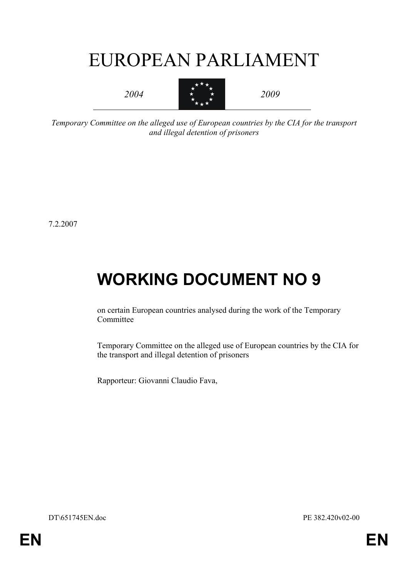# EUROPEAN PARLIAMENT

*2004* 



*2009* 

*Temporary Committee on the alleged use of European countries by the CIA for the transport and illegal detention of prisoners* 

7.2.2007

# **WORKING DOCUMENT NO 9**

on certain European countries analysed during the work of the Temporary Committee

Temporary Committee on the alleged use of European countries by the CIA for the transport and illegal detention of prisoners

Rapporteur: Giovanni Claudio Fava,

DT\651745EN.doc PE 382.420v02-00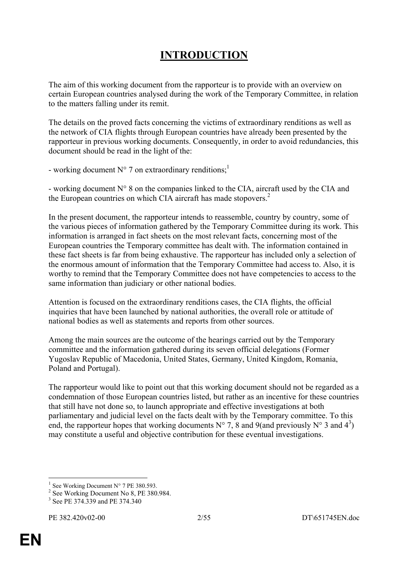# **INTRODUCTION**

The aim of this working document from the rapporteur is to provide with an overview on certain European countries analysed during the work of the Temporary Committee, in relation to the matters falling under its remit.

The details on the proved facts concerning the victims of extraordinary renditions as well as the network of CIA flights through European countries have already been presented by the rapporteur in previous working documents. Consequently, in order to avoid redundancies, this document should be read in the light of the:

- working document  $N^{\circ}$  7 on extraordinary renditions;<sup>1</sup>

- working document N° 8 on the companies linked to the CIA, aircraft used by the CIA and the European countries on which CIA aircraft has made stopovers.<sup>2</sup>

In the present document, the rapporteur intends to reassemble, country by country, some of the various pieces of information gathered by the Temporary Committee during its work. This information is arranged in fact sheets on the most relevant facts, concerning most of the European countries the Temporary committee has dealt with. The information contained in these fact sheets is far from being exhaustive. The rapporteur has included only a selection of the enormous amount of information that the Temporary Committee had access to. Also, it is worthy to remind that the Temporary Committee does not have competencies to access to the same information than judiciary or other national bodies.

Attention is focused on the extraordinary renditions cases, the CIA flights, the official inquiries that have been launched by national authorities, the overall role or attitude of national bodies as well as statements and reports from other sources.

Among the main sources are the outcome of the hearings carried out by the Temporary committee and the information gathered during its seven official delegations (Former Yugoslav Republic of Macedonia, United States, Germany, United Kingdom, Romania, Poland and Portugal).

The rapporteur would like to point out that this working document should not be regarded as a condemnation of those European countries listed, but rather as an incentive for these countries that still have not done so, to launch appropriate and effective investigations at both parliamentary and judicial level on the facts dealt with by the Temporary committee. To this end, the rapporteur hopes that working documents  $N^{\circ}$  7, 8 and 9(and previously  $N^{\circ}$  3 and 4<sup>3</sup>) may constitute a useful and objective contribution for these eventual investigations.

<sup>1</sup> <sup>1</sup> See Working Document N° 7 PE 380.593.

<sup>&</sup>lt;sup>2</sup> See Working Document No 8, PE 380.984.

<sup>&</sup>lt;sup>3</sup> See PE 374.339 and PE 374.340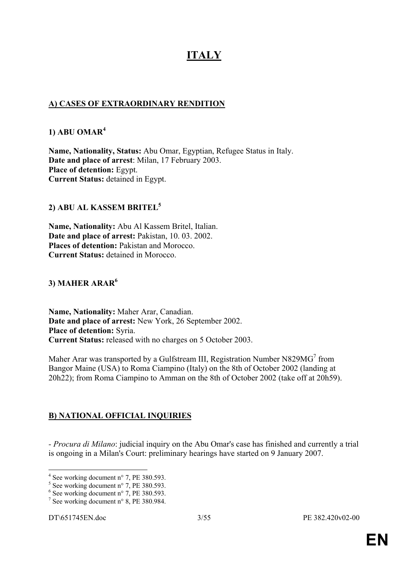# **ITALY**

## **A) CASES OF EXTRAORDINARY RENDITION**

#### **1) ABU OMAR<sup>4</sup>**

**Name, Nationality, Status:** Abu Omar, Egyptian, Refugee Status in Italy. **Date and place of arrest**: Milan, 17 February 2003. **Place of detention:** Egypt. **Current Status:** detained in Egypt.

# **2) ABU AL KASSEM BRITEL<sup>5</sup>**

**Name, Nationality:** Abu Al Kassem Britel, Italian. **Date and place of arrest:** Pakistan, 10. 03. 2002. **Places of detention:** Pakistan and Morocco. **Current Status:** detained in Morocco.

# **3) MAHER ARAR<sup>6</sup>**

**Name, Nationality:** Maher Arar, Canadian. **Date and place of arrest:** New York, 26 September 2002. **Place of detention:** Syria. **Current Status:** released with no charges on 5 October 2003.

Maher Arar was transported by a Gulfstream III, Registration Number N829MG<sup>7</sup> from Bangor Maine (USA) to Roma Ciampino (Italy) on the 8th of October 2002 (landing at 20h22); from Roma Ciampino to Amman on the 8th of October 2002 (take off at 20h59).

# **B) NATIONAL OFFICIAL INQUIRIES**

*- Procura di Milano*: judicial inquiry on the Abu Omar's case has finished and currently a trial is ongoing in a Milan's Court: preliminary hearings have started on 9 January 2007.

<sup>&</sup>lt;sup>4</sup> See working document n° 7, PE 380.593.

<sup>5</sup> See working document n° 7, PE 380.593.

<sup>6</sup> See working document n° 7, PE 380.593.

<sup>7</sup> See working document n° 8, PE 380.984.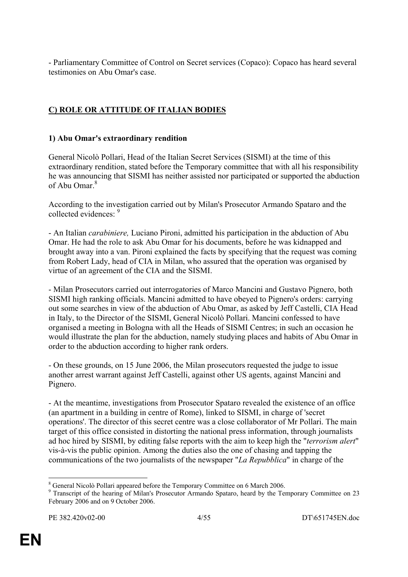- Parliamentary Committee of Control on Secret services (Copaco): Copaco has heard several testimonies on Abu Omar's case.

# **C) ROLE OR ATTITUDE OF ITALIAN BODIES**

## **1) Abu Omar's extraordinary rendition**

General Nicolò Pollari, Head of the Italian Secret Services (SISMI) at the time of this extraordinary rendition, stated before the Temporary committee that with all his responsibility he was announcing that SISMI has neither assisted nor participated or supported the abduction of Abu Omar $^8$ 

According to the investigation carried out by Milan's Prosecutor Armando Spataro and the collected evidences: 9

- An Italian *carabiniere,* Luciano Pironi, admitted his participation in the abduction of Abu Omar. He had the role to ask Abu Omar for his documents, before he was kidnapped and brought away into a van. Pironi explained the facts by specifying that the request was coming from Robert Lady, head of CIA in Milan, who assured that the operation was organised by virtue of an agreement of the CIA and the SISMI.

- Milan Prosecutors carried out interrogatories of Marco Mancini and Gustavo Pignero, both SISMI high ranking officials. Mancini admitted to have obeyed to Pignero's orders: carrying out some searches in view of the abduction of Abu Omar, as asked by Jeff Castelli, CIA Head in Italy, to the Director of the SISMI, General Nicolò Pollari. Mancini confessed to have organised a meeting in Bologna with all the Heads of SISMI Centres; in such an occasion he would illustrate the plan for the abduction, namely studying places and habits of Abu Omar in order to the abduction according to higher rank orders.

- On these grounds, on 15 June 2006, the Milan prosecutors requested the judge to issue another arrest warrant against Jeff Castelli, against other US agents, against Mancini and Pignero.

- At the meantime, investigations from Prosecutor Spataro revealed the existence of an office (an apartment in a building in centre of Rome), linked to SISMI, in charge of 'secret operations'. The director of this secret centre was a close collaborator of Mr Pollari. The main target of this office consisted in distorting the national press information, through journalists ad hoc hired by SISMI, by editing false reports with the aim to keep high the "*terrorism alert*" vis-à-vis the public opinion. Among the duties also the one of chasing and tapping the communications of the two journalists of the newspaper "*La Repubblica*" in charge of the

<sup>&</sup>lt;sup>8</sup> General Nicolò Pollari appeared before the Temporary Committee on 6 March 2006.

<sup>&</sup>lt;sup>9</sup> Transcript of the hearing of Milan's Prosecutor Armando Spataro, heard by the Temporary Committee on 23 February 2006 and on 9 October 2006.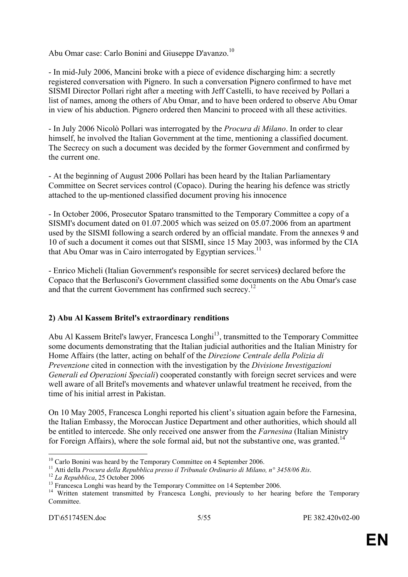Abu Omar case: Carlo Bonini and Giuseppe D'avanzo.<sup>10</sup>

- In mid-July 2006, Mancini broke with a piece of evidence discharging him: a secretly registered conversation with Pignero. In such a conversation Pignero confirmed to have met SISMI Director Pollari right after a meeting with Jeff Castelli, to have received by Pollari a list of names, among the others of Abu Omar, and to have been ordered to observe Abu Omar in view of his abduction. Pignero ordered then Mancini to proceed with all these activities.

- In July 2006 Nicolò Pollari was interrogated by the *Procura di Milano*. In order to clear himself, he involved the Italian Government at the time, mentioning a classified document. The Secrecy on such a document was decided by the former Government and confirmed by the current one.

- At the beginning of August 2006 Pollari has been heard by the Italian Parliamentary Committee on Secret services control (Copaco). During the hearing his defence was strictly attached to the up-mentioned classified document proving his innocence

- In October 2006, Prosecutor Spataro transmitted to the Temporary Committee a copy of a SISMI's document dated on 01.07.2005 which was seized on 05.07.2006 from an apartment used by the SISMI following a search ordered by an official mandate. From the annexes 9 and 10 of such a document it comes out that SISMI, since 15 May 2003, was informed by the CIA that Abu Omar was in Cairo interrogated by Egyptian services.<sup>11</sup>

- Enrico Micheli (Italian Government's responsible for secret services**)** declared before the Copaco that the Berlusconi's Government classified some documents on the Abu Omar's case and that the current Government has confirmed such secrecy.<sup>12</sup>

## **2) Abu Al Kassem Britel's extraordinary renditions**

Abu Al Kassem Britel's lawyer, Francesca Longhi<sup>13</sup>, transmitted to the Temporary Committee some documents demonstrating that the Italian judicial authorities and the Italian Ministry for Home Affairs (the latter, acting on behalf of the *Direzione Centrale della Polizia di Prevenzione* cited in connection with the investigation by the *Divisione Investigazioni Generali ed Operazioni Speciali*) cooperated constantly with foreign secret services and were well aware of all Britel's movements and whatever unlawful treatment he received, from the time of his initial arrest in Pakistan.

On 10 May 2005, Francesca Longhi reported his client's situation again before the Farnesina, the Italian Embassy, the Moroccan Justice Department and other authorities, which should all be entitled to intercede. She only received one answer from the *Farnesina* (Italian Ministry for Foreign Affairs), where the sole formal aid, but not the substantive one, was granted.<sup>14</sup>

<sup>&</sup>lt;sup>10</sup> Carlo Bonini was heard by the Temporary Committee on 4 September 2006.<br><sup>11</sup> Atti della *Procura della Repubblica presso il Tribunale Ordinario di Milano, n<sup>o</sup> 3458/06 Ris.* 

<sup>&</sup>lt;sup>12</sup> La Repubblica, 25 October 2006<br><sup>13</sup> Francesca Longhi was heard by the Temporary Committee on 14 September 2006.<br><sup>14</sup> Written statement transmitted by Francesca Longhi, previously to her hearing before the Temporary **Committee**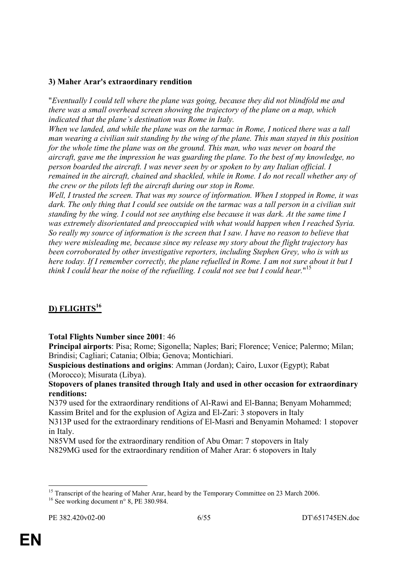#### **3) Maher Arar's extraordinary rendition**

"*Eventually I could tell where the plane was going, because they did not blindfold me and there was a small overhead screen showing the trajectory of the plane on a map, which indicated that the plane's destination was Rome in Italy.* 

*When we landed, and while the plane was on the tarmac in Rome, I noticed there was a tall man wearing a civilian suit standing by the wing of the plane. This man stayed in this position for the whole time the plane was on the ground. This man, who was never on board the aircraft, gave me the impression he was guarding the plane. To the best of my knowledge, no person boarded the aircraft. I was never seen by or spoken to by any Italian official. I remained in the aircraft, chained and shackled, while in Rome. I do not recall whether any of the crew or the pilots left the aircraft during our stop in Rome.* 

*Well, I trusted the screen. That was my source of information. When I stopped in Rome, it was dark. The only thing that I could see outside on the tarmac was a tall person in a civilian suit standing by the wing. I could not see anything else because it was dark. At the same time I was extremely disorientated and preoccupied with what would happen when I reached Syria. So really my source of information is the screen that I saw. I have no reason to believe that they were misleading me, because since my release my story about the flight trajectory has been corroborated by other investigative reporters, including Stephen Grey, who is with us here today. If I remember correctly, the plane refuelled in Rome. I am not sure about it but I think I could hear the noise of the refuelling. I could not see but I could hear.*" 15

# **D) FLIGHTS<sup>16</sup>**

**Total Flights Number since 2001**: 46

**Principal airports**: Pisa; Rome; Sigonella; Naples; Bari; Florence; Venice; Palermo; Milan; Brindisi; Cagliari; Catania; Olbia; Genova; Montichiari.

**Suspicious destinations and origins**: Amman (Jordan); Cairo, Luxor (Egypt); Rabat (Morocco); Misurata (Libya).

**Stopovers of planes transited through Italy and used in other occasion for extraordinary renditions:** 

N379 used for the extraordinary renditions of Al-Rawi and El-Banna; Benyam Mohammed; Kassim Britel and for the explusion of Agiza and El-Zari: 3 stopovers in Italy

N313P used for the extraordinary renditions of El-Masri and Benyamin Mohamed: 1 stopover in Italy.

N85VM used for the extraordinary rendition of Abu Omar: 7 stopovers in Italy N829MG used for the extraordinary rendition of Maher Arar: 6 stopovers in Italy

<u>.</u>

<sup>&</sup>lt;sup>15</sup> Transcript of the hearing of Maher Arar, heard by the Temporary Committee on 23 March 2006.

<sup>&</sup>lt;sup>16</sup> See working document n° 8, PE 380.984.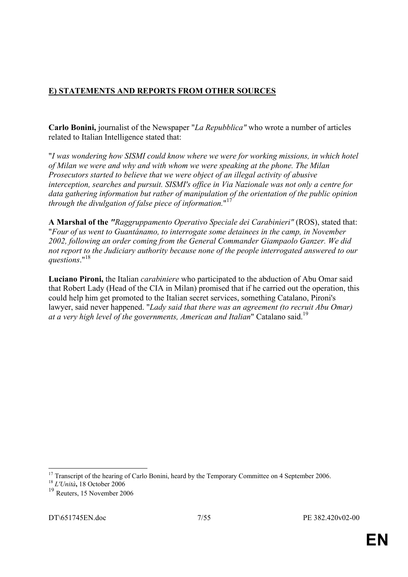# **E) STATEMENTS AND REPORTS FROM OTHER SOURCES**

**Carlo Bonini,** journalist of the Newspaper "*La Repubblica"* who wrote a number of articles related to Italian Intelligence stated that:

"*I was wondering how SISMI could know where we were for working missions, in which hotel of Milan we were and why and with whom we were speaking at the phone. The Milan Prosecutors started to believe that we were object of an illegal activity of abusive interception, searches and pursuit. SISMI's office in Via Nazionale was not only a centre for data gathering information but rather of manipulation of the orientation of the public opinion through the divulgation of false piece of information.*" 17

**A Marshal of the** *"Raggruppamento Operativo Speciale dei Carabinieri"* (ROS), stated that: "*Four of us went to Guantánamo, to interrogate some detainees in the camp, in November 2002, following an order coming from the General Commander Giampaolo Ganzer. We did not report to the Judiciary authority because none of the people interrogated answered to our questions*."18

**Luciano Pironi,** the Italian *carabiniere* who participated to the abduction of Abu Omar said that Robert Lady (Head of the CIA in Milan) promised that if he carried out the operation, this could help him get promoted to the Italian secret services, something Catalano, Pironi's lawyer, said never happened. "*Lady said that there was an agreement (to recruit Abu Omar) at a very high level of the governments, American and Italian*" Catalano said.19

<sup>&</sup>lt;sup>17</sup> Transcript of the hearing of Carlo Bonini, heard by the Temporary Committee on 4 September 2006.

<sup>18</sup> *L'Unità***,** 18 October 2006

<sup>19</sup> Reuters, 15 November 2006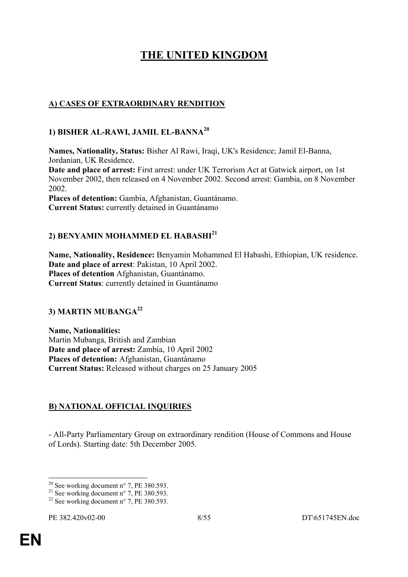# **THE UNITED KINGDOM**

# **A) CASES OF EXTRAORDINARY RENDITION**

#### **1) BISHER AL-RAWI, JAMIL EL-BANNA<sup>20</sup>**

**Names, Nationality, Status:** Bisher Al Rawi, Iraqi, UK's Residence; Jamil El-Banna, Jordanian, UK Residence.

**Date and place of arrest:** First arrest: under UK Terrorism Act at Gatwick airport, on 1st November 2002, then released on 4 November 2002. Second arrest: Gambia, on 8 November 2002.

**Places of detention:** Gambia, Afghanistan, Guantánamo. **Current Status:** currently detained in Guantánamo

# **2) BENYAMIN MOHAMMED EL HABASHI21**

**Name, Nationality, Residence:** Benyamin Mohammed El Habashi, Ethiopian, UK residence. **Date and place of arrest**: Pakistan, 10 April 2002. **Places of detention** Afghanistan, Guantánamo. **Current Status**: currently detained in Guantánamo

## **3) MARTIN MUBANGA22**

**Name, Nationalities:**  Martin Mubanga, British and Zambian **Date and place of arrest:** Zambia, 10 April 2002 **Places of detention:** Afghanistan, Guantánamo **Current Status:** Released without charges on 25 January 2005

## **B) NATIONAL OFFICIAL INQUIRIES**

- All-Party Parliamentary Group on extraordinary rendition (House of Commons and House of Lords). Starting date: 5th December 2005.

<sup>&</sup>lt;sup>20</sup> See working document n° 7, PE 380.593.

<sup>&</sup>lt;sup>21</sup> See working document n° 7, PE 380.593.

<sup>&</sup>lt;sup>22</sup> See working document n° 7, PE 380.593.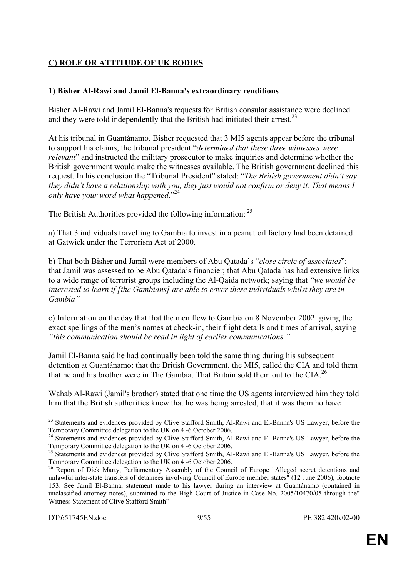# **C) ROLE OR ATTITUDE OF UK BODIES**

#### **1) Bisher Al-Rawi and Jamil El-Banna's extraordinary renditions**

Bisher Al-Rawi and Jamil El-Banna's requests for British consular assistance were declined and they were told independently that the British had initiated their arrest.<sup>23</sup>

At his tribunal in Guantánamo, Bisher requested that 3 MI5 agents appear before the tribunal to support his claims, the tribunal president "*determined that these three witnesses were relevant*" and instructed the military prosecutor to make inquiries and determine whether the British government would make the witnesses available. The British government declined this request. In his conclusion the "Tribunal President" stated: "*The British government didn't say they didn't have a relationship with you, they just would not confirm or deny it. That means I only have your word what happened*."24

The British Authorities provided the following information: <sup>25</sup>

a) That 3 individuals travelling to Gambia to invest in a peanut oil factory had been detained at Gatwick under the Terrorism Act of 2000.

b) That both Bisher and Jamil were members of Abu Qatada's "*close circle of associates*"; that Jamil was assessed to be Abu Qatada's financier; that Abu Qatada has had extensive links to a wide range of terrorist groups including the Al-Qaida network; saying that *"we would be interested to learn if [the Gambians] are able to cover these individuals whilst they are in Gambia"*

c) Information on the day that that the men flew to Gambia on 8 November 2002: giving the exact spellings of the men's names at check-in, their flight details and times of arrival, saying *"this communication should be read in light of earlier communications."* 

Jamil El-Banna said he had continually been told the same thing during his subsequent detention at Guantánamo: that the British Government, the MI5, called the CIA and told them that he and his brother were in The Gambia. That Britain sold them out to the CIA.<sup>26</sup>

Wahab Al-Rawi (Jamil's brother) stated that one time the US agents interviewed him they told him that the British authorities knew that he was being arrested, that it was them ho have

<u>.</u>

<sup>&</sup>lt;sup>23</sup> Statements and evidences provided by Clive Stafford Smith, Al-Rawi and El-Banna's US Lawyer, before the Temporary Committee delegation to the UK on 4 -6 October 2006.

<sup>&</sup>lt;sup>24</sup> Statements and evidences provided by Clive Stafford Smith, Al-Rawi and El-Banna's US Lawyer, before the Temporary Committee delegation to the UK on 4 -6 October 2006.

<sup>&</sup>lt;sup>25</sup> Statements and evidences provided by Clive Stafford Smith, Al-Rawi and El-Banna's US Lawyer, before the Temporary Committee delegation to the UK on 4 -6 October 2006.

<sup>&</sup>lt;sup>26</sup> Report of Dick Marty, Parliamentary Assembly of the Council of Europe "Alleged secret detentions and unlawful inter-state transfers of detainees involving Council of Europe member states" (12 June 2006), footnote 153: See Jamil El-Banna, statement made to his lawyer during an interview at Guantánamo (contained in unclassified attorney notes), submitted to the High Court of Justice in Case No. 2005/10470/05 through the" Witness Statement of Clive Stafford Smith"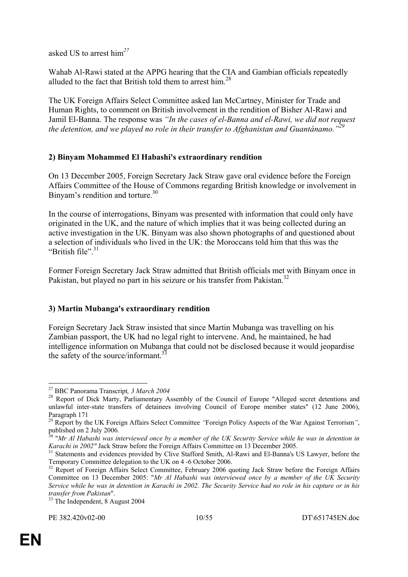asked US to arrest him*<sup>27</sup>*

Wahab Al-Rawi stated at the APPG hearing that the CIA and Gambian officials repeatedly alluded to the fact that British told them to arrest him.<sup>28</sup>

The UK Foreign Affairs Select Committee asked Ian McCartney, Minister for Trade and Human Rights, to comment on British involvement in the rendition of Bisher Al-Rawi and Jamil El-Banna. The response was *"In the cases of el-Banna and el-Rawi, we did not request the detention, and we played no role in their transfer to Afghanistan and Guantánamo."29* 

# **2) Binyam Mohammed El Habashi's extraordinary rendition**

On 13 December 2005, Foreign Secretary Jack Straw gave oral evidence before the Foreign Affairs Committee of the House of Commons regarding British knowledge or involvement in Binyam's rendition and torture.<sup>30</sup>

In the course of interrogations, Binyam was presented with information that could only have originated in the UK, and the nature of which implies that it was being collected during an active investigation in the UK. Binyam was also shown photographs of and questioned about a selection of individuals who lived in the UK: the Moroccans told him that this was the "British file"<sup>31</sup>

Former Foreign Secretary Jack Straw admitted that British officials met with Binyam once in Pakistan, but played no part in his seizure or his transfer from Pakistan.<sup>32</sup>

## **3) Martin Mubanga's extraordinary rendition**

Foreign Secretary Jack Straw insisted that since Martin Mubanga was travelling on his Zambian passport, the UK had no legal right to intervene. And, he maintained, he had intelligence information on Mubanga that could not be disclosed because it would jeopardise the safety of the source/informant.<sup>33</sup>

<sup>&</sup>lt;sup>27</sup> BBC Panorama Transcript, 3 March 2004<br><sup>28</sup> Report of Dick Marty, Parliamentary Assembly of the Council of Europe "Alleged secret detentions and unlawful inter-state transfers of detainees involving Council of Europe member states" (12 June 2006), Paragraph 171

<sup>&</sup>lt;sup>29</sup> Report by the UK Foreign Affairs Select Committee "Foreign Policy Aspects of the War Against Terrorism", published on 2 July 2006.

<sup>&</sup>lt;sup>30</sup> "*Mr Al Habashi was interviewed once by a member of the UK Security Service while he was in detention in Karachi in 2002" Jack Straw before the Foreign Affairs Committee on 13 December 2005.* 

<sup>&</sup>lt;sup>31</sup> Statements and evidences provided by Clive Stafford Smith, Al-Rawi and El-Banna's US Lawyer, before the Temporary Committee delegation to the UK on 4 -6 October 2006.

<sup>&</sup>lt;sup>32</sup> Report of Foreign Affairs Select Committee, February 2006 quoting Jack Straw before the Foreign Affairs Committee on 13 December 2005: "*Mr Al Habashi was interviewed once by a member of the UK Security Service while he was in detention in Karachi in 2002. The Security Service had no role in his capture or in his* 

<sup>&</sup>lt;sup>33</sup> The Independent, 8 August 2004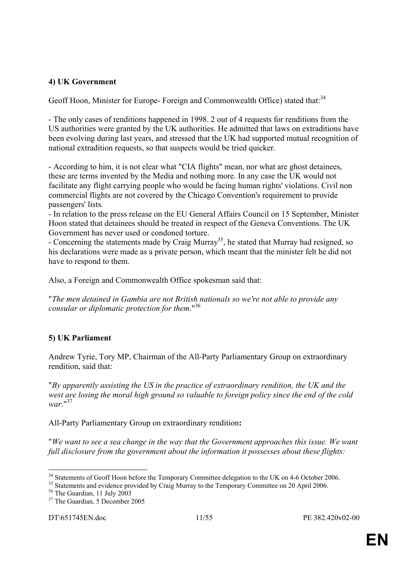#### **4) UK Government**

Geoff Hoon, Minister for Europe- Foreign and Commonwealth Office) stated that:<sup>34</sup>

- The only cases of renditions happened in 1998. 2 out of 4 requests for renditions from the US authorities were granted by the UK authorities. He admitted that laws on extraditions have been evolving during last years, and stressed that the UK had supported mutual recognition of national extradition requests, so that suspects would be tried quicker.

- According to him, it is not clear what "CIA flights" mean, nor what are ghost detainees, these are terms invented by the Media and nothing more. In any case the UK would not facilitate any flight carrying people who would be facing human rights' violations. Civil non commercial flights are not covered by the Chicago Convention's requirement to provide passengers' lists.

- In relation to the press release on the EU General Affairs Council on 15 September, Minister Hoon stated that detainees should be treated in respect of the Geneva Conventions. The UK Government has never used or condoned torture.

- Concerning the statements made by Craig Murray<sup>35</sup>, he stated that Murray had resigned, so his declarations were made as a private person, which meant that the minister felt he did not have to respond to them.

Also, a Foreign and Commonwealth Office spokesman said that:

"*The men detained in Gambia are not British nationals so we're not able to provide any consular or diplomatic protection for them*."36

## **5) UK Parliament**

Andrew Tyrie, Tory MP, Chairman of the All-Party Parliamentary Group on extraordinary rendition, said that:

"*By apparently assisting the US in the practice of extraordinary rendition, the UK and the west are losing the moral high ground so valuable to foreign policy since the end of the cold war*."<sup>37</sup>

All-Party Parliamentary Group on extraordinary rendition**:** 

"*We want to see a sea change in the way that the Government approaches this issue. We want full disclosure from the government about the information it possesses about these flights:* 

<sup>1</sup> <sup>34</sup> Statements of Geoff Hoon before the Temporary Committee delegation to the UK on 4-6 October 2006.

 $35$  Statements and evidence provided by Craig Murray to the Temporary Committee on 20 April 2006.<br><sup>36</sup> The Guardian, 11 July 2003

 $37$  The Guardian, 5 December 2005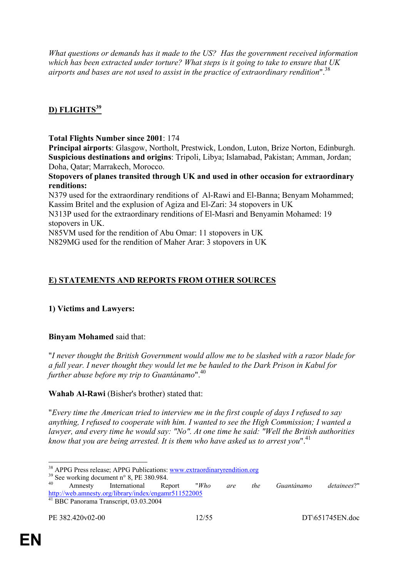*What questions or demands has it made to the US? Has the government received information which has been extracted under torture? What steps is it going to take to ensure that UK airports and bases are not used to assist in the practice of extraordinary rendition*".38

# **D) FLIGHTS<sup>39</sup>**

**Total Flights Number since 2001**: 174

**Principal airports**: Glasgow, Northolt, Prestwick, London, Luton, Brize Norton, Edinburgh. **Suspicious destinations and origins**: Tripoli, Libya; Islamabad, Pakistan; Amman, Jordan; Doha, Qatar; Marrakech, Morocco.

**Stopovers of planes transited through UK and used in other occasion for extraordinary renditions:** 

N379 used for the extraordinary renditions of Al-Rawi and El-Banna; Benyam Mohammed; Kassim Britel and the explusion of Agiza and El-Zari: 34 stopovers in UK

N313P used for the extraordinary renditions of El-Masri and Benyamin Mohamed: 19 stopovers in UK.

N85VM used for the rendition of Abu Omar: 11 stopovers in UK N829MG used for the rendition of Maher Arar: 3 stopovers in UK

# **E) STATEMENTS AND REPORTS FROM OTHER SOURCES**

## **1) Victims and Lawyers:**

**Binyam Mohamed** said that:

"*I never thought the British Government would allow me to be slashed with a razor blade for a full year. I never thought they would let me be hauled to the Dark Prison in Kabul for further abuse before my trip to Guantánamo*".<sup>40</sup>

**Wahab Al-Rawi** (Bisher's brother) stated that:

"*Every time the American tried to interview me in the first couple of days I refused to say anything, I refused to cooperate with him. I wanted to see the High Commission; I wanted a lawyer, and every time he would say: "No". At one time he said: "Well the British authorities know that you are being arrested. It is them who have asked us to arrest you*".<sup>41</sup>

<u>.</u>

<sup>&</sup>lt;sup>38</sup> APPG Press release; APPG Publications: <u>www.extraordinaryrendition.org</u>  $^{39}$  See working document n° 8, PE 380.984.

<sup>&</sup>lt;sup>39</sup> See working document n° 8, PE 380.984.<br><sup>40</sup> Amnesty International Report *"Who are the Guantánamo detainees*?" http://web.amnesty.org/library/index/engamr511522005 41 BBC Panorama Transcript, 03.03.2004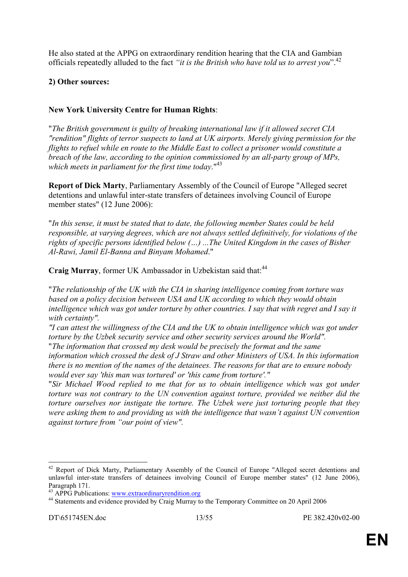He also stated at the APPG on extraordinary rendition hearing that the CIA and Gambian officials repeatedly alluded to the fact *"it is the British who have told us to arrest you*".42

#### **2) Other sources:**

## **New York University Centre for Human Rights**:

"*The British government is guilty of breaking international law if it allowed secret CIA "rendition" flights of terror suspects to land at UK airports. Merely giving permission for the flights to refuel while en route to the Middle East to collect a prisoner would constitute a breach of the law, according to the opinion commissioned by an all-party group of MPs, which meets in parliament for the first time today*."<sup>43</sup>

**Report of Dick Marty**, Parliamentary Assembly of the Council of Europe "Alleged secret detentions and unlawful inter-state transfers of detainees involving Council of Europe member states" (12 June 2006):

"*In this sense, it must be stated that to date, the following member States could be held responsible, at varying degrees, which are not always settled definitively, for violations of the rights of specific persons identified below (…) ...The United Kingdom in the cases of Bisher Al-Rawi, Jamil El-Banna and Binyam Mohamed*."

Craig Murray, former UK Ambassador in Uzbekistan said that:<sup>44</sup>

"*The relationship of the UK with the CIA in sharing intelligence coming from torture was based on a policy decision between USA and UK according to which they would obtain intelligence which was got under torture by other countries. I say that with regret and I say it with certainty".* 

*"I can attest the willingness of the CIA and the UK to obtain intelligence which was got under torture by the Uzbek security service and other security services around the World".*  "*The information that crossed my desk would be precisely the format and the same* 

*information which crossed the desk of J Straw and other Ministers of USA. In this information there is no mention of the names of the detainees. The reasons for that are to ensure nobody would ever say 'this man was tortured' or 'this came from torture'."* 

"*Sir Michael Wood replied to me that for us to obtain intelligence which was got under torture was not contrary to the UN convention against torture, provided we neither did the torture ourselves nor instigate the torture. The Uzbek were just torturing people that they were asking them to and providing us with the intelligence that wasn't against UN convention against torture from "our point of view".*

 $\overline{a}$ 

<sup>&</sup>lt;sup>42</sup> Report of Dick Marty, Parliamentary Assembly of the Council of Europe "Alleged secret detentions and unlawful inter-state transfers of detainees involving Council of Europe member states" (12 June 2006), Paragraph 171.<br><sup>43</sup> APPG Publications: www.extraordinaryrendition.org

<sup>&</sup>lt;sup>44</sup> Statements and evidence provided by Craig Murray to the Temporary Committee on 20 April 2006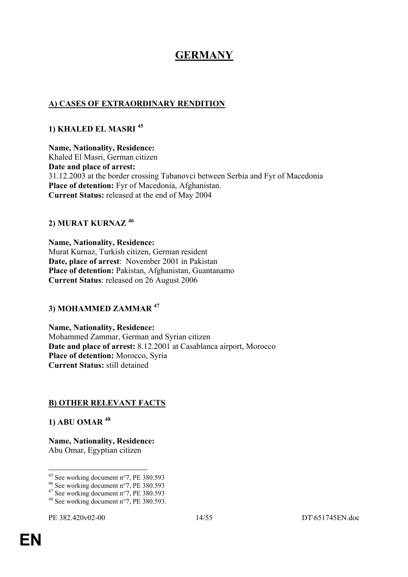# **GERMANY**

## **A) CASES OF EXTRAORDINARY RENDITION**

## **1) KHALED EL MASRI <sup>45</sup>**

**Name, Nationality, Residence:**  Khaled El Masri, German citizen **Date and place of arrest:** 31.12.2003 at the border crossing Tabanovci between Serbia and Fyr of Macedonia **Place of detention:** Fyr of Macedonia, Afghanistan. **Current Status:** released at the end of May 2004

## **2) MURAT KURNAZ <sup>46</sup>**

**Name, Nationality, Residence:**  Murat Kurnaz, Turkish citizen, German resident **Date, place of arrest**: November 2001 in Pakistan **Place of detention:** Pakistan, Afghanistan, Guantanamo **Current Status**: released on 26 August 2006

## **3) MOHAMMED ZAMMAR <sup>47</sup>**

**Name, Nationality, Residence:**  Mohammed Zammar, German and Syrian citizen **Date and place of arrest:** 8.12.2001 at Casablanca airport, Morocco **Place of detention:** Morocco, Syria **Current Status:** still detained

## **B) OTHER RELEVANT FACTS**

**1) ABU OMAR <sup>48</sup>**

**Name, Nationality, Residence:**  Abu Omar, Egyptian citizen

<sup>1</sup>  $45$  See working document n°7, PE 380.593

<sup>46</sup> See working document n°7, PE 380.593

<sup>47</sup> See working document n°7, PE 380.593

<sup>&</sup>lt;sup>48</sup> See working document  $n^{\circ}$ . PE 380.593.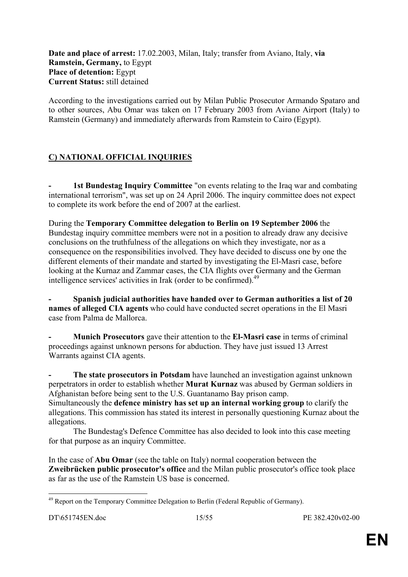**Date and place of arrest:** 17.02.2003, Milan, Italy; transfer from Aviano, Italy, **via Ramstein, Germany,** to Egypt **Place of detention:** Egypt **Current Status:** still detained

According to the investigations carried out by Milan Public Prosecutor Armando Spataro and to other sources, Abu Omar was taken on 17 February 2003 from Aviano Airport (Italy) to Ramstein (Germany) and immediately afterwards from Ramstein to Cairo (Egypt).

# **C) NATIONAL OFFICIAL INQUIRIES**

**- 1st Bundestag Inquiry Committee** "on events relating to the Iraq war and combating international terrorism", was set up on 24 April 2006. The inquiry committee does not expect to complete its work before the end of 2007 at the earliest.

During the **Temporary Committee delegation to Berlin on 19 September 2006** the Bundestag inquiry committee members were not in a position to already draw any decisive conclusions on the truthfulness of the allegations on which they investigate, nor as a consequence on the responsibilities involved. They have decided to discuss one by one the different elements of their mandate and started by investigating the El-Masri case, before looking at the Kurnaz and Zammar cases, the CIA flights over Germany and the German intelligence services' activities in Irak (order to be confirmed). $49$ 

**- Spanish judicial authorities have handed over to German authorities a list of 20 names of alleged CIA agents** who could have conducted secret operations in the El Masri case from Palma de Mallorca.

**- Munich Prosecutors** gave their attention to the **El-Masri case** in terms of criminal proceedings against unknown persons for abduction. They have just issued 13 Arrest Warrants against CIA agents.

**- The state prosecutors in Potsdam** have launched an investigation against unknown perpetrators in order to establish whether **Murat Kurnaz** was abused by German soldiers in Afghanistan before being sent to the U.S. Guantanamo Bay prison camp. Simultaneously the **defence ministry has set up an internal working group** to clarify the allegations. This commission has stated its interest in personally questioning Kurnaz about the allegations.

 The Bundestag's Defence Committee has also decided to look into this case meeting for that purpose as an inquiry Committee.

In the case of **Abu Omar** (see the table on Italy) normal cooperation between the **Zweibrücken public prosecutor's office** and the Milan public prosecutor's office took place as far as the use of the Ramstein US base is concerned.

<sup>1</sup> <sup>49</sup> Report on the Temporary Committee Delegation to Berlin (Federal Republic of Germany).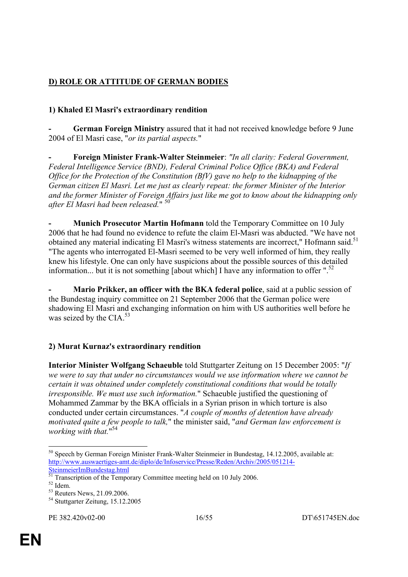# **D) ROLE OR ATTITUDE OF GERMAN BODIES**

# **1) Khaled El Masri's extraordinary rendition**

**- German Foreign Ministry** assured that it had not received knowledge before 9 June 2004 of El Masri case, "*or its partial aspects.*"

**- Foreign Minister Frank-Walter Steinmeier**: *"In all clarity: Federal Government, Federal Intelligence Service (BND), Federal Criminal Police Office (BKA) and Federal Office for the Protection of the Constitution (BfV) gave no help to the kidnapping of the German citizen El Masri. Let me just as clearly repeat: the former Minister of the Interior and the former Minister of Foreign Affairs just like me got to know about the kidnapping only after El Masri had been released.*" 50

**- Munich Prosecutor Martin Hofmann** told the Temporary Committee on 10 July 2006 that he had found no evidence to refute the claim El-Masri was abducted. "We have not obtained any material indicating El Masri's witness statements are incorrect," Hofmann said.<sup>51</sup> "The agents who interrogated El-Masri seemed to be very well informed of him, they really knew his lifestyle. One can only have suspicions about the possible sources of this detailed information... but it is not something [about which] I have any information to offer ".<sup>52</sup>

**Mario Prikker, an officer with the BKA federal police**, said at a public session of the Bundestag inquiry committee on 21 September 2006 that the German police were shadowing El Masri and exchanging information on him with US authorities well before he was seized by the CIA.<sup>53</sup>

## **2) Murat Kurnaz's extraordinary rendition**

**Interior Minister Wolfgang Schaeuble** told Stuttgarter Zeitung on 15 December 2005: "*If we were to say that under no circumstances would we use information where we cannot be certain it was obtained under completely constitutional conditions that would be totally irresponsible. We must use such information.*" Schaeuble justified the questioning of Mohammed Zammar by the BKA officials in a Syrian prison in which torture is also conducted under certain circumstances. "*A couple of months of detention have already motivated quite a few people to talk,*" the minister said, "*and German law enforcement is working with that.*" 54

<sup>1</sup> 50 Speech by German Foreign Minister Frank-Walter Steinmeier in Bundestag, 14.12.2005, available at: http://www.auswaertiges-amt.de/diplo/de/Infoservice/Presse/Reden/Archiv/2005/051214- SteinmeierImBundestag.html

<sup>&</sup>lt;sup>51</sup> Transcription of the Temporary Committee meeting held on 10 July 2006.

<sup>52</sup> Idem.

<sup>53</sup> Reuters News, 21.09.2006.

<sup>&</sup>lt;sup>54</sup> Stuttgarter Zeitung, 15,12,2005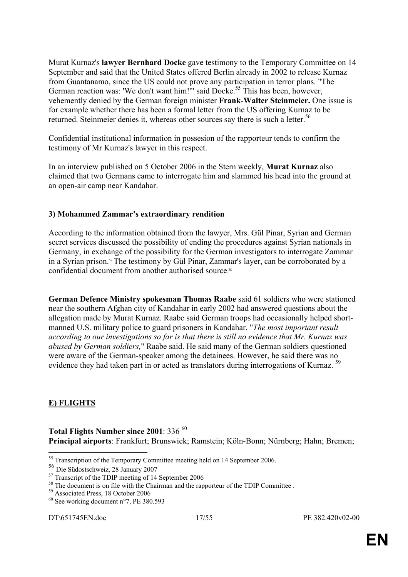Murat Kurnaz's **lawyer Bernhard Docke** gave testimony to the Temporary Committee on 14 September and said that the United States offered Berlin already in 2002 to release Kurnaz from Guantanamo, since the US could not prove any participation in terror plans. "The German reaction was: 'We don't want him!'" said Docke.<sup>55</sup> This has been, however, vehemently denied by the German foreign minister **Frank-Walter Steinmeier.** One issue is for example whether there has been a formal letter from the US offering Kurnaz to be returned. Steinmeier denies it, whereas other sources say there is such a letter.<sup>56</sup>

Confidential institutional information in possesion of the rapporteur tends to confirm the testimony of Mr Kurnaz's lawyer in this respect.

In an interview published on 5 October 2006 in the Stern weekly, **Murat Kurnaz** also claimed that two Germans came to interrogate him and slammed his head into the ground at an open-air camp near Kandahar.

#### **3) Mohammed Zammar's extraordinary rendition**

According to the information obtained from the lawyer, Mrs. Gül Pinar, Syrian and German secret services discussed the possibility of ending the procedures against Syrian nationals in Germany, in exchange of the possibility for the German investigators to interrogate Zammar in a Syrian prison.57 The testimony by Gül Pinar, Zammar's layer, can be corroborated by a confidential document from another authorised source.<sup>58</sup>

**German Defence Ministry spokesman Thomas Raabe** said 61 soldiers who were stationed near the southern Afghan city of Kandahar in early 2002 had answered questions about the allegation made by Murat Kurnaz. Raabe said German troops had occasionally helped shortmanned U.S. military police to guard prisoners in Kandahar. "*The most important result according to our investigations so far is that there is still no evidence that Mr. Kurnaz was abused by German soldiers,*" Raabe said. He said many of the German soldiers questioned were aware of the German-speaker among the detainees. However, he said there was no evidence they had taken part in or acted as translators during interrogations of Kurnaz.<sup>59</sup>

## **E) FLIGHTS**

1

Total Flights Number since 2001: 336<sup>60</sup> **Principal airports**: Frankfurt; Brunswick; Ramstein; Köln-Bonn; Nürnberg; Hahn; Bremen;

<sup>&</sup>lt;sup>55</sup> Transcription of the Temporary Committee meeting held on 14 September 2006.

<sup>56</sup> Die Südostschweiz, 28 January 2007

 $57$  Transcript of the TDIP meeting of 14 September 2006

 $58$  The document is on file with the Chairman and the rapporteur of the TDIP Committee .<br> $59$  Associated Press, 18 October 2006

 $60$  See working document n°7, PE 380.593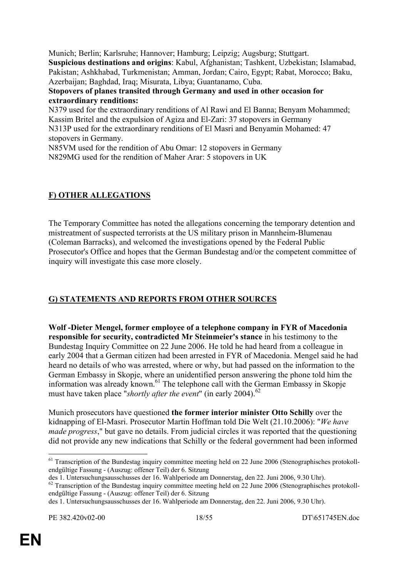Munich; Berlin; Karlsruhe; Hannover; Hamburg; Leipzig; Augsburg; Stuttgart. **Suspicious destinations and origins**: Kabul, Afghanistan; Tashkent, Uzbekistan; Islamabad, Pakistan; Ashkhabad, Turkmenistan; Amman, Jordan; Cairo, Egypt; Rabat, Morocco; Baku, Azerbaijan; Baghdad, Iraq; Misurata, Libya; Guantanamo, Cuba.

**Stopovers of planes transited through Germany and used in other occasion for extraordinary renditions:** 

N379 used for the extraordinary renditions of Al Rawi and El Banna; Benyam Mohammed; Kassim Britel and the expulsion of Agiza and El-Zari: 37 stopovers in Germany N313P used for the extraordinary renditions of El Masri and Benyamin Mohamed: 47 stopovers in Germany.

N85VM used for the rendition of Abu Omar: 12 stopovers in Germany N829MG used for the rendition of Maher Arar: 5 stopovers in UK

# **F) OTHER ALLEGATIONS**

The Temporary Committee has noted the allegations concerning the temporary detention and mistreatment of suspected terrorists at the US military prison in Mannheim-Blumenau (Coleman Barracks), and welcomed the investigations opened by the Federal Public Prosecutor's Office and hopes that the German Bundestag and/or the competent committee of inquiry will investigate this case more closely.

# **G) STATEMENTS AND REPORTS FROM OTHER SOURCES**

**Wolf -Dieter Mengel, former employee of a telephone company in FYR of Macedonia responsible for security, contradicted Mr Steinmeier's stance** in his testimony to the Bundestag Inquiry Committee on 22 June 2006. He told he had heard from a colleague in early 2004 that a German citizen had been arrested in FYR of Macedonia. Mengel said he had heard no details of who was arrested, where or why, but had passed on the information to the German Embassy in Skopje, where an unidentified person answering the phone told him the information was already known.<sup>61</sup> The telephone call with the German Embassy in Skopje must have taken place "*shortly after the event*" (in early 2004).<sup>62</sup>

Munich prosecutors have questioned **the former interior minister Otto Schilly** over the kidnapping of El-Masri. Prosecutor Martin Hoffman told Die Welt (21.10.2006): "*We have made progress*," but gave no details. From judicial circles it was reported that the questioning did not provide any new indications that Schilly or the federal government had been informed

<sup>&</sup>lt;sup>61</sup> Transcription of the Bundestag inquiry committee meeting held on 22 June 2006 (Stenographisches protokollendgültige Fassung - (Auszug: offener Teil) der 6. Sitzung

des 1. Untersuchungsausschusses der 16. Wahlperiode am Donnerstag, den 22. Juni 2006, 9.30 Uhr).

<sup>&</sup>lt;sup>62</sup> Transcription of the Bundestag inquiry committee meeting held on 22 June 2006 (Stenographisches protokollendgültige Fassung - (Auszug: offener Teil) der 6. Sitzung

des 1. Untersuchungsausschusses der 16. Wahlperiode am Donnerstag, den 22. Juni 2006, 9.30 Uhr).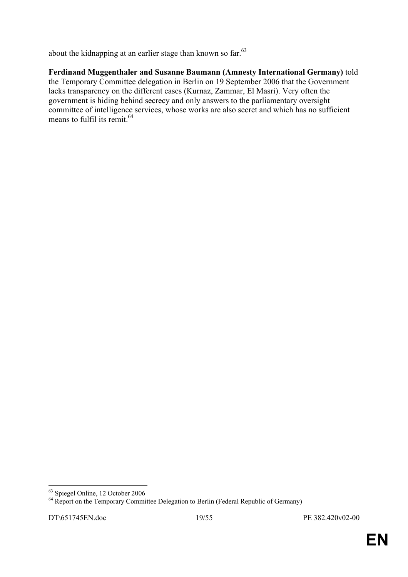about the kidnapping at an earlier stage than known so far.<sup>63</sup>

**Ferdinand Muggenthaler and Susanne Baumann (Amnesty International Germany)** told the Temporary Committee delegation in Berlin on 19 September 2006 that the Government lacks transparency on the different cases (Kurnaz, Zammar, El Masri). Very often the government is hiding behind secrecy and only answers to the parliamentary oversight committee of intelligence services, whose works are also secret and which has no sufficient means to fulfil its remit.<sup>64</sup>

<sup>&</sup>lt;u>.</u> 63 Spiegel Online, 12 October 2006

<sup>&</sup>lt;sup>64</sup> Report on the Temporary Committee Delegation to Berlin (Federal Republic of Germany)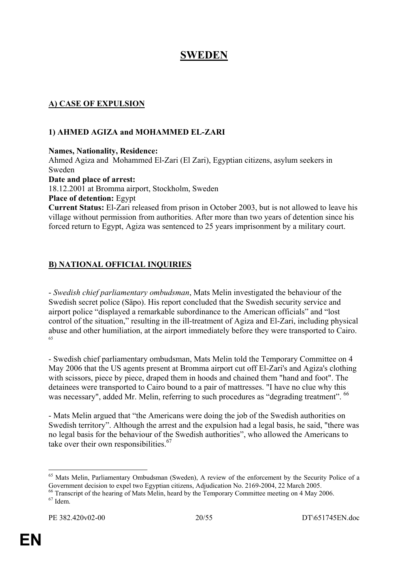# **SWEDEN**

# **A) CASE OF EXPULSION**

#### **1) AHMED AGIZA and MOHAMMED EL-ZARI**

**Names, Nationality, Residence:** 

Ahmed Agiza and Mohammed El-Zari (El Zari), Egyptian citizens, asylum seekers in Sweden **Date and place of arrest:** 18.12.2001 at Bromma airport, Stockholm, Sweden **Place of detention:** Egypt

**Current Status:** El-Zari released from prison in October 2003, but is not allowed to leave his village without permission from authorities. After more than two years of detention since his forced return to Egypt, Agiza was sentenced to 25 years imprisonment by a military court.

# **B) NATIONAL OFFICIAL INQUIRIES**

- *Swedish chief parliamentary ombudsman*, Mats Melin investigated the behaviour of the Swedish secret police (Säpo). His report concluded that the Swedish security service and airport police "displayed a remarkable subordinance to the American officials" and "lost control of the situation," resulting in the ill-treatment of Agiza and El-Zari, including physical abuse and other humiliation, at the airport immediately before they were transported to Cairo.

- Swedish chief parliamentary ombudsman, Mats Melin told the Temporary Committee on 4 May 2006 that the US agents present at Bromma airport cut off El-Zari's and Agiza's clothing with scissors, piece by piece, draped them in hoods and chained them "hand and foot". The detainees were transported to Cairo bound to a pair of mattresses. "I have no clue why this was necessary", added Mr. Melin, referring to such procedures as "degrading treatment". <sup>66</sup>

- Mats Melin argued that "the Americans were doing the job of the Swedish authorities on Swedish territory". Although the arrest and the expulsion had a legal basis, he said, "there was no legal basis for the behaviour of the Swedish authorities", who allowed the Americans to take over their own responsibilities. $67$ 

<sup>1</sup> <sup>65</sup> Mats Melin, Parliamentary Ombudsman (Sweden), A review of the enforcement by the Security Police of a Government decision to expel two Egyptian citizens, Adjudication No. 2169-2004, 22 March 2005.

<sup>&</sup>lt;sup>66</sup> Transcript of the hearing of Mats Melin, heard by the Temporary Committee meeting on 4 May 2006.  $67$  Idem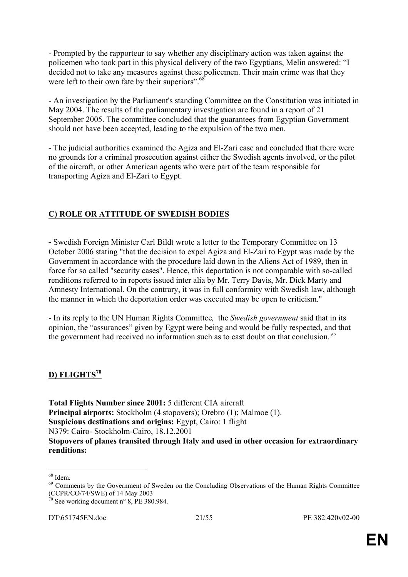- Prompted by the rapporteur to say whether any disciplinary action was taken against the policemen who took part in this physical delivery of the two Egyptians, Melin answered: "I decided not to take any measures against these policemen. Their main crime was that they were left to their own fate by their superiors".<sup>68</sup>

- An investigation by the Parliament's standing Committee on the Constitution was initiated in May 2004. The results of the parliamentary investigation are found in a report of 21 September 2005. The committee concluded that the guarantees from Egyptian Government should not have been accepted, leading to the expulsion of the two men.

*-* The judicial authorities examined the Agiza and El-Zari case and concluded that there were no grounds for a criminal prosecution against either the Swedish agents involved, or the pilot of the aircraft, or other American agents who were part of the team responsible for transporting Agiza and El-Zari to Egypt.

# **C) ROLE OR ATTITUDE OF SWEDISH BODIES**

**-** Swedish Foreign Minister Carl Bildt wrote a letter to the Temporary Committee on 13 October 2006 stating "that the decision to expel Agiza and El-Zari to Egypt was made by the Government in accordance with the procedure laid down in the Aliens Act of 1989, then in force for so called "security cases". Hence, this deportation is not comparable with so-called renditions referred to in reports issued inter alia by Mr. Terry Davis, Mr. Dick Marty and Amnesty International. On the contrary, it was in full conformity with Swedish law, although the manner in which the deportation order was executed may be open to criticism."

- In its reply to the UN Human Rights Committee*,* the *Swedish government* said that in its opinion, the "assurances" given by Egypt were being and would be fully respected, and that the government had received no information such as to cast doubt on that conclusion.<sup>69</sup>

# **D) FLIGHTS<sup>70</sup>**

**Total Flights Number since 2001:** 5 different CIA aircraft **Principal airports:** Stockholm (4 stopovers); Orebro (1); Malmoe (1). **Suspicious destinations and origins:** Egypt, Cairo: 1 flight N379: Cairo- Stockholm-Cairo, 18.12.2001 **Stopovers of planes transited through Italy and used in other occasion for extraordinary renditions:**

<sup>1</sup> 68 Idem.

<sup>&</sup>lt;sup>69</sup> Comments by the Government of Sweden on the Concluding Observations of the Human Rights Committee (CCPR/CO/74/SWE) of 14 May 2003

 $\frac{70}{10}$  See working document n° 8, PE 380.984.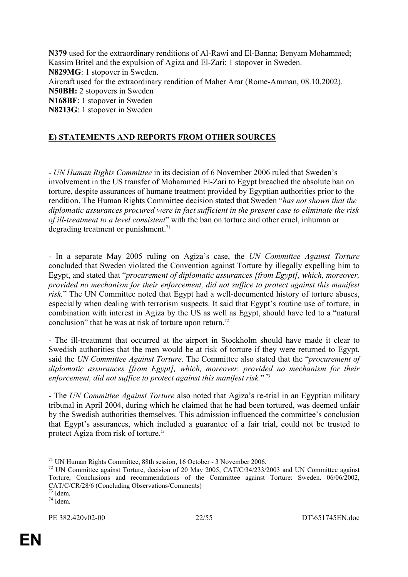**N379** used for the extraordinary renditions of Al-Rawi and El-Banna; Benyam Mohammed; Kassim Britel and the expulsion of Agiza and El-Zari: 1 stopover in Sweden. **N829MG**: 1 stopover in Sweden. Aircraft used for the extraordinary rendition of Maher Arar (Rome-Amman, 08.10.2002). **N50BH:** 2 stopovers in Sweden **N168BF**: 1 stopover in Sweden **N8213G**: 1 stopover in Sweden

# **E) STATEMENTS AND REPORTS FROM OTHER SOURCES**

*- UN Human Rights Committee* in its decision of 6 November 2006 ruled that Sweden's involvement in the US transfer of Mohammed El-Zari to Egypt breached the absolute ban on torture, despite assurances of humane treatment provided by Egyptian authorities prior to the rendition. The Human Rights Committee decision stated that Sweden "*has not shown that the diplomatic assurances procured were in fact sufficient in the present case to eliminate the risk of ill-treatment to a level consistent*" with the ban on torture and other cruel, inhuman or degrading treatment or punishment.<sup>71</sup>

- In a separate May 2005 ruling on Agiza's case, the *UN Committee Against Torture* concluded that Sweden violated the Convention against Torture by illegally expelling him to Egypt, and stated that "*procurement of diplomatic assurances [from Egypt], which, moreover, provided no mechanism for their enforcement, did not suffice to protect against this manifest*  risk." The UN Committee noted that Egypt had a well-documented history of torture abuses, especially when dealing with terrorism suspects. It said that Egypt's routine use of torture, in combination with interest in Agiza by the US as well as Egypt, should have led to a "natural conclusion" that he was at risk of torture upon return.<sup>72</sup>

- The ill-treatment that occurred at the airport in Stockholm should have made it clear to Swedish authorities that the men would be at risk of torture if they were returned to Egypt, said the *UN Committee Against Torture*. The Committee also stated that the "*procurement of diplomatic assurances [from Egypt], which, moreover, provided no mechanism for their enforcement, did not suffice to protect against this manifest risk.*" <sup>73</sup>

- The *UN Committee Against Torture* also noted that Agiza's re-trial in an Egyptian military tribunal in April 2004, during which he claimed that he had been tortured, was deemed unfair by the Swedish authorities themselves. This admission influenced the committee's conclusion that Egypt's assurances, which included a guarantee of a fair trial, could not be trusted to protect Agiza from risk of torture.74

<sup>1</sup> 71 UN Human Rights Committee, 88th session, 16 October - 3 November 2006.

<sup>72</sup> UN Committee against Torture, decision of 20 May 2005, CAT/C/34/233/2003 and UN Committee against Torture, Conclusions and recommendations of the Committee against Torture: Sweden. 06/06/2002, CAT/C/CR/28/6 (Concluding Observations/Comments)

<sup>73</sup> Idem.

<sup>74</sup> Idem.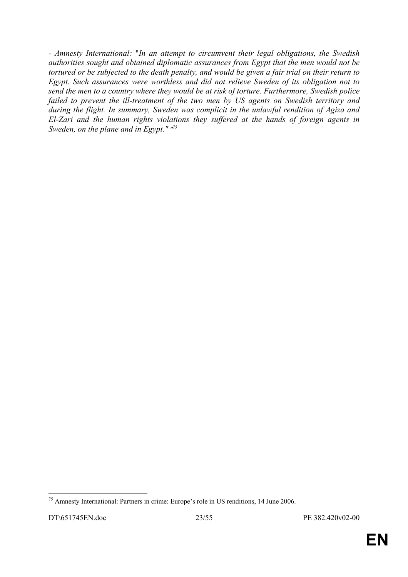*- Amnesty International:* "*In an attempt to circumvent their legal obligations, the Swedish authorities sought and obtained diplomatic assurances from Egypt that the men would not be tortured or be subjected to the death penalty, and would be given a fair trial on their return to Egypt. Such assurances were worthless and did not relieve Sweden of its obligation not to send the men to a country where they would be at risk of torture. Furthermore, Swedish police failed to prevent the ill-treatment of the two men by US agents on Swedish territory and during the flight. In summary, Sweden was complicit in the unlawful rendition of Agiza and El-Zari and the human rights violations they suffered at the hands of foreign agents in Sweden, on the plane and in Egypt." "75*

<sup>1</sup> <sup>75</sup> Amnesty International: Partners in crime: Europe's role in US renditions, 14 June 2006.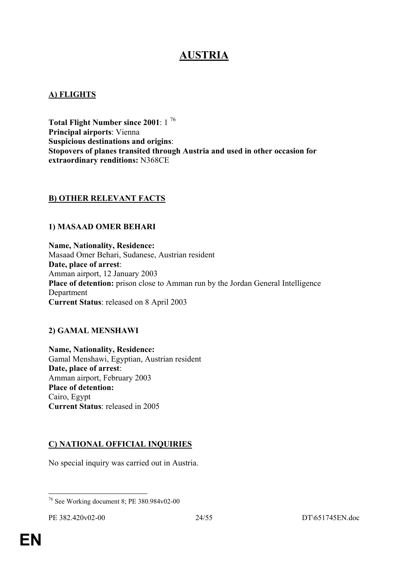# **AUSTRIA**

#### **A) FLIGHTS**

**Total Flight Number since 2001**: 1 76 **Principal airports**: Vienna **Suspicious destinations and origins**: **Stopovers of planes transited through Austria and used in other occasion for extraordinary renditions:** N368CE

## **B) OTHER RELEVANT FACTS**

#### **1) MASAAD OMER BEHARI**

**Name, Nationality, Residence:**  Masaad Omer Behari, Sudanese, Austrian resident **Date, place of arrest**: Amman airport, 12 January 2003 **Place of detention:** prison close to Amman run by the Jordan General Intelligence Department **Current Status**: released on 8 April 2003

## **2) GAMAL MENSHAWI**

**Name, Nationality, Residence:**  Gamal Menshawi, Egyptian, Austrian resident **Date, place of arrest**: Amman airport, February 2003 **Place of detention:**  Cairo, Egypt **Current Status**: released in 2005

## **C) NATIONAL OFFICIAL INQUIRIES**

No special inquiry was carried out in Austria.

<sup>1</sup> 76 See Working document 8; PE 380.984v02-00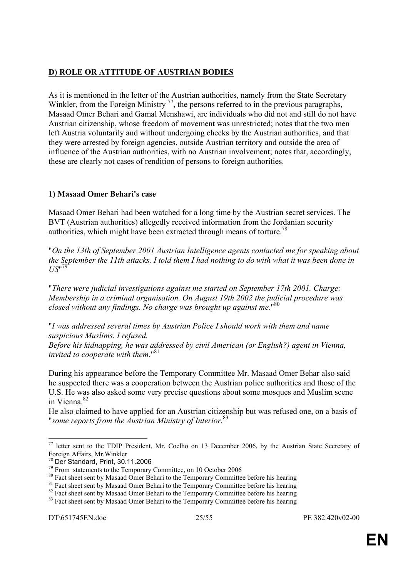## **D) ROLE OR ATTITUDE OF AUSTRIAN BODIES**

As it is mentioned in the letter of the Austrian authorities, namely from the State Secretary Winkler, from the Foreign Ministry  $77$ , the persons referred to in the previous paragraphs, Masaad Omer Behari and Gamal Menshawi, are individuals who did not and still do not have Austrian citizenship, whose freedom of movement was unrestricted; notes that the two men left Austria voluntarily and without undergoing checks by the Austrian authorities, and that they were arrested by foreign agencies, outside Austrian territory and outside the area of influence of the Austrian authorities, with no Austrian involvement; notes that, accordingly, these are clearly not cases of rendition of persons to foreign authorities.

## **1) Masaad Omer Behari's case**

Masaad Omer Behari had been watched for a long time by the Austrian secret services. The BVT (Austrian authorities) allegedly received information from the Jordanian security authorities, which might have been extracted through means of torture.<sup>78</sup>

"*On the 13th of September 2001 Austrian Intelligence agents contacted me for speaking about the September the 11th attacks. I told them I had nothing to do with what it was been done in US*" 79

"*There were judicial investigations against me started on September 17th 2001. Charge: Membership in a criminal organisation. On August 19th 2002 the judicial procedure was closed without any findings. No charge was brought up against me*."80

"*I was addressed several times by Austrian Police I should work with them and name suspicious Muslims. I refused.* 

*Before his kidnapping, he was addressed by civil American (or English?) agent in Vienna, invited to cooperate with them.*" 81

During his appearance before the Temporary Committee Mr. Masaad Omer Behar also said he suspected there was a cooperation between the Austrian police authorities and those of the U.S. He was also asked some very precise questions about some mosques and Muslim scene in Vienna<sup>82</sup>

He also claimed to have applied for an Austrian citizenship but was refused one, on a basis of "*some reports from the Austrian Ministry of Interior.*<sup>83</sup>

<u>.</u>

<sup>&</sup>lt;sup>77</sup> letter sent to the TDIP President, Mr. Coelho on 13 December 2006, by the Austrian State Secretary of Foreign Affairs, Mr.Winkler

<sup>&</sup>lt;sup>78</sup> Der Standard, Print, 30.11.2006<br><sup>79</sup> From statements to the Temporary Committee, on 10 October 2006

<sup>&</sup>lt;sup>80</sup> Fact sheet sent by Masaad Omer Behari to the Temporary Committee before his hearing

<sup>&</sup>lt;sup>81</sup> Fact sheet sent by Masaad Omer Behari to the Temporary Committee before his hearing

<sup>&</sup>lt;sup>82</sup> Fact sheet sent by Masaad Omer Behari to the Temporary Committee before his hearing

<sup>&</sup>lt;sup>83</sup> Fact sheet sent by Masaad Omer Behari to the Temporary Committee before his hearing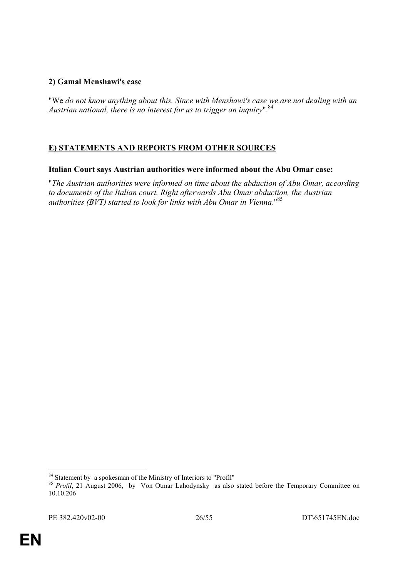## **2) Gamal Menshawi's case**

"We *do not know anything about this. Since with Menshawi's case we are not dealing with an Austrian national, there is no interest for us to trigger an inquiry*".84

# **E) STATEMENTS AND REPORTS FROM OTHER SOURCES**

#### **Italian Court says Austrian authorities were informed about the Abu Omar case:**

"*The Austrian authorities were informed on time about the abduction of Abu Omar, according to documents of the Italian court. Right afterwards Abu Omar abduction, the Austrian authorities (BVT) started to look for links with Abu Omar in Vienna*."85

<sup>1</sup> <sup>84</sup> Statement by a spokesman of the Ministry of Interiors to "Profil"

<sup>&</sup>lt;sup>85</sup> Profil, 21 August 2006, by Von Otmar Lahodynsky as also stated before the Temporary Committee on 10.10.206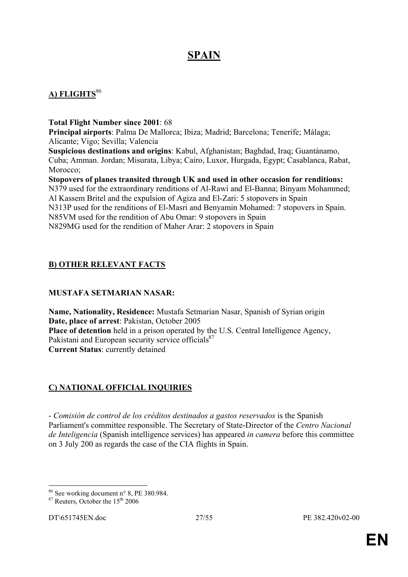# **SPAIN**

# **A) FLIGHTS**<sup>86</sup>

**Total Flight Number since 2001**: 68

**Principal airports**: Palma De Mallorca; Ibiza; Madrid; Barcelona; Tenerife; Málaga; Alicante; Vigo; Sevilla; Valencia

**Suspicious destinations and origins**: Kabul, Afghanistan; Baghdad, Iraq; Guantánamo, Cuba; Amman. Jordan; Misurata, Libya; Cairo, Luxor, Hurgada, Egypt; Casablanca, Rabat, Morocco;

**Stopovers of planes transited through UK and used in other occasion for renditions:**  N379 used for the extraordinary renditions of Al-Rawi and El-Banna; Binyam Mohammed; Al Kassem Britel and the expulsion of Agiza and El-Zari: 5 stopovers in Spain N313P used for the renditions of El-Masri and Benyamin Mohamed: 7 stopovers in Spain. N85VM used for the rendition of Abu Omar: 9 stopovers in Spain N829MG used for the rendition of Maher Arar: 2 stopovers in Spain

# **B) OTHER RELEVANT FACTS**

## **MUSTAFA SETMARIAN NASAR:**

**Name, Nationality, Residence:** Mustafa Setmarian Nasar, Spanish of Syrian origin **Date, place of arrest**: Pakistan, October 2005 Place of detention held in a prison operated by the U.S. Central Intelligence Agency, Pakistani and European security service officials<sup>87</sup> **Current Status**: currently detained

# **C) NATIONAL OFFICIAL INQUIRIES**

- *Comisión de control de los créditos destinados a gastos reservados* is the Spanish Parliament's committee responsible. The Secretary of State-Director of the *Centro Nacional de Inteligencia* (Spanish intelligence services) has appeared *in camera* before this committee on 3 July 200 as regards the case of the CIA flights in Spain.

<sup>&</sup>lt;u>.</u> 86 See working document n° 8, PE 380.984.

 $87$  Reuters, October the  $15<sup>th</sup>$  2006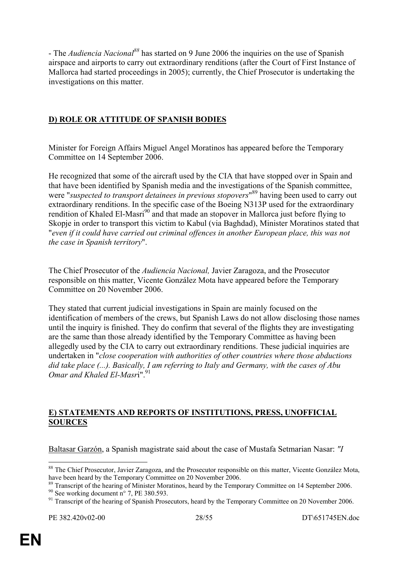- The *Audiencia Nacional*<sup>88</sup> has started on 9 June 2006 the inquiries on the use of Spanish airspace and airports to carry out extraordinary renditions (after the Court of First Instance of Mallorca had started proceedings in 2005); currently, the Chief Prosecutor is undertaking the investigations on this matter.

## **D) ROLE OR ATTITUDE OF SPANISH BODIES**

Minister for Foreign Affairs Miguel Angel Moratinos has appeared before the Temporary Committee on 14 September 2006.

He recognized that some of the aircraft used by the CIA that have stopped over in Spain and that have been identified by Spanish media and the investigations of the Spanish committee, were "*suspected to transport detainees in previous stopovers*" 89 having been used to carry out extraordinary renditions. In the specific case of the Boeing N313P used for the extraordinary rendition of Khaled El-Masri<sup>90</sup> and that made an stopover in Mallorca just before flying to Skopje in order to transport this victim to Kabul (via Baghdad), Minister Moratinos stated that "*even if it could have carried out criminal offences in another European place, this was not the case in Spanish territory*".

The Chief Prosecutor of the *Audiencia Nacional,* Javier Zaragoza, and the Prosecutor responsible on this matter, Vicente González Mota have appeared before the Temporary Committee on 20 November 2006.

They stated that current judicial investigations in Spain are mainly focused on the identification of members of the crews, but Spanish Laws do not allow disclosing those names until the inquiry is finished. They do confirm that several of the flights they are investigating are the same than those already identified by the Temporary Committee as having been allegedly used by the CIA to carry out extraordinary renditions. These judicial inquiries are undertaken in "*close cooperation with authorities of other countries where those abductions did take place (...). Basically, I am referring to Italy and Germany, with the cases of Abu Omar and Khaled El-Masri*<sup>"91</sup>

#### **E) STATEMENTS AND REPORTS OF INSTITUTIONS, PRESS, UNOFFICIAL SOURCES**

Baltasar Garzón, a Spanish magistrate said about the case of Mustafa Setmarian Nasar: *"I* 

<sup>&</sup>lt;u>.</u> <sup>88</sup> The Chief Prosecutor, Javier Zaragoza, and the Prosecutor responsible on this matter, Vicente González Mota, have been heard by the Temporary Committee on 20 November 2006.

<sup>&</sup>lt;sup>89</sup> Transcript of the hearing of Minister Moratinos, heard by the Temporary Committee on 14 September 2006.

 $90$  See working document n° 7, PE 380.593.

<sup>&</sup>lt;sup>91</sup> Transcript of the hearing of Spanish Prosecutors, heard by the Temporary Committee on 20 November 2006.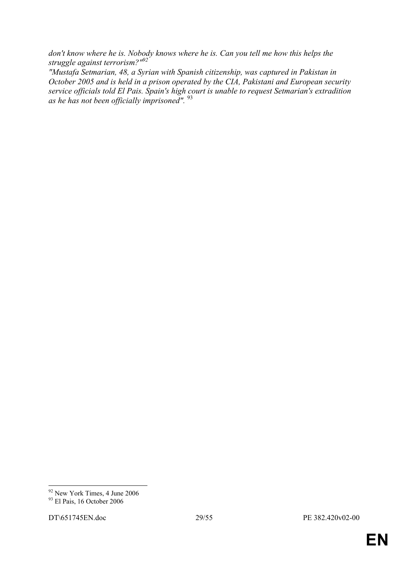don't know where he is. Nobody knows where he is. Can you tell me how this helps the *struggle against terrorism?"92*

*"Mustafa Setmarian, 48, a Syrian with Spanish citizenship, was captured in Pakistan in October 2005 and is held in a prison operated by the CIA, Pakistani and European security service officials told El Pais. Spain's high court is unable to request Setmarian's extradition as he has not been officially imprisoned".* <sup>93</sup>

<u>.</u>

<sup>&</sup>lt;sup>92</sup> New York Times, 4 June 2006

 $93$  El Pais, 16 October 2006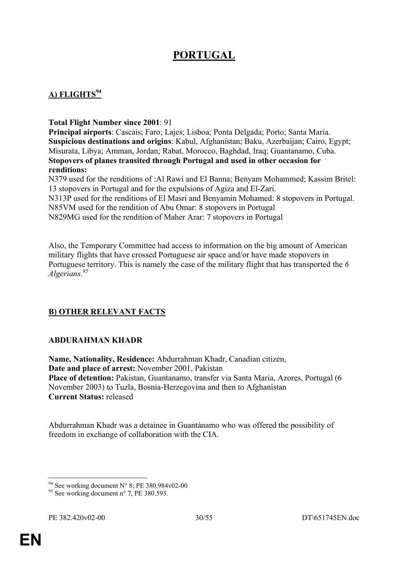# **PORTUGAL**

# **A) FLIGHTS<sup>94</sup>**

#### **Total Flight Number since 2001**: 91

**Principal airports**: Cascais; Faro; Lajes; Lisboa; Ponta Delgada; Porto; Santa Maria. **Suspicious destinations and origins**: Kabul, Afghanistan; Baku, Azerbaijan; Cairo, Egypt; Misurata, Libya; Amman, Jordan; Rabat, Morocco, Baghdad, Iraq; Guantanamo, Cuba. **Stopovers of planes transited through Portugal and used in other occasion for renditions:** 

N379 used for the renditions of :Al Rawi and El Banna; Benyam Mohammed; Kassim Britel: 13 stopovers in Portugal and for the expulsions of Agiza and El-Zari.

N313P used for the renditions of El Masri and Benyamin Mohamed: 8 stopovers in Portugal. N85VM used for the rendition of Abu Omar: 8 stopovers in Portugal

N829MG used for the rendition of Maher Arar: 7 stopovers in Portugal

Also, the Temporary Committee had access to information on the big amount of American military flights that have crossed Portuguese air space and/or have made stopovers in Portuguese territory. This is namely the case of the military flight that has transported the *6 Algerians.95*

## **B) OTHER RELEVANT FACTS**

#### **ABDURAHMAN KHADR**

**Name, Nationality, Residence:** Abdurrahman Khadr, Canadian citizen, **Date and place of arrest:** November 2001, Pakistan **Place of detention:** Pakistan, Guantanamo, transfer via Santa Maria, Azores, Portugal (6 November 2003) to Tuzla, Bosnia-Herzegovina and then to Afghanistan **Current Status:** released

Abdurrahman Khadr was a detainee in Guantánamo who was offered the possibility of freedom in exchange of collaboration with the CIA.

<sup>1</sup> <sup>94</sup> See working document N° 8; PE 380.984v02-00

 $95$  See working document n° 7, PE 380.593.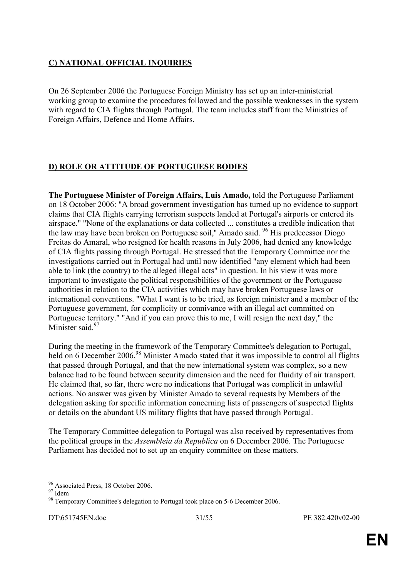# **C) NATIONAL OFFICIAL INQUIRIES**

On 26 September 2006 the Portuguese Foreign Ministry has set up an inter-ministerial working group to examine the procedures followed and the possible weaknesses in the system with regard to CIA flights through Portugal. The team includes staff from the Ministries of Foreign Affairs, Defence and Home Affairs.

## **D) ROLE OR ATTITUDE OF PORTUGUESE BODIES**

**The Portuguese Minister of Foreign Affairs, Luis Amado,** told the Portuguese Parliament on 18 October 2006: "A broad government investigation has turned up no evidence to support claims that CIA flights carrying terrorism suspects landed at Portugal's airports or entered its airspace." "None of the explanations or data collected ... constitutes a credible indication that the law may have been broken on Portuguese soil," Amado said. <sup>96</sup> His predecessor Diogo Freitas do Amaral, who resigned for health reasons in July 2006, had denied any knowledge of CIA flights passing through Portugal. He stressed that the Temporary Committee nor the investigations carried out in Portugal had until now identified "any element which had been able to link (the country) to the alleged illegal acts" in question. In his view it was more important to investigate the political responsibilities of the government or the Portuguese authorities in relation to the CIA activities which may have broken Portuguese laws or international conventions. "What I want is to be tried, as foreign minister and a member of the Portuguese government, for complicity or connivance with an illegal act committed on Portuguese territory." "And if you can prove this to me, I will resign the next day," the Minister said<sup>97</sup>

During the meeting in the framework of the Temporary Committee's delegation to Portugal, held on 6 December 2006,<sup>98</sup> Minister Amado stated that it was impossible to control all flights that passed through Portugal, and that the new international system was complex, so a new balance had to be found between security dimension and the need for fluidity of air transport. He claimed that, so far, there were no indications that Portugal was complicit in unlawful actions. No answer was given by Minister Amado to several requests by Members of the delegation asking for specific information concerning lists of passengers of suspected flights or details on the abundant US military flights that have passed through Portugal.

The Temporary Committee delegation to Portugal was also received by representatives from the political groups in the *Assembleia da Republica* on 6 December 2006. The Portuguese Parliament has decided not to set up an enquiry committee on these matters.

<sup>&</sup>lt;sup>96</sup> Associated Press, 18 October 2006.

 $97$  Idem

<sup>&</sup>lt;sup>98</sup> Temporary Committee's delegation to Portugal took place on 5-6 December 2006.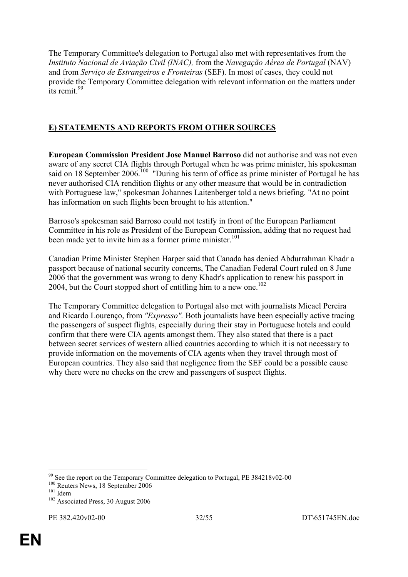The Temporary Committee's delegation to Portugal also met with representatives from the *Instituto Nacional de Aviação Civil (INAC),* from the *Navegação Aérea de Portugal* (NAV) and from *Serviço de Estrangeiros e Fronteiras* (SEF). In most of cases, they could not provide the Temporary Committee delegation with relevant information on the matters under  $\frac{1}{1}$ its remit.<sup>99</sup>

# **E) STATEMENTS AND REPORTS FROM OTHER SOURCES**

**European Commission President Jose Manuel Barroso** did not authorise and was not even aware of any secret CIA flights through Portugal when he was prime minister, his spokesman said on 18 September 2006.<sup>100</sup> "During his term of office as prime minister of Portugal he has never authorised CIA rendition flights or any other measure that would be in contradiction with Portuguese law," spokesman Johannes Laitenberger told a news briefing. "At no point has information on such flights been brought to his attention."

Barroso's spokesman said Barroso could not testify in front of the European Parliament Committee in his role as President of the European Commission, adding that no request had been made yet to invite him as a former prime minister.<sup>101</sup>

Canadian Prime Minister Stephen Harper said that Canada has denied Abdurrahman Khadr a passport because of national security concerns, The Canadian Federal Court ruled on 8 June 2006 that the government was wrong to deny Khadr's application to renew his passport in 2004, but the Court stopped short of entitling him to a new one.<sup>102</sup>

The Temporary Committee delegation to Portugal also met with journalists Micael Pereira and Ricardo Lourenço, from *"Expresso".* Both journalists have been especially active tracing the passengers of suspect flights, especially during their stay in Portuguese hotels and could confirm that there were CIA agents amongst them. They also stated that there is a pact between secret services of western allied countries according to which it is not necessary to provide information on the movements of CIA agents when they travel through most of European countries. They also said that negligence from the SEF could be a possible cause why there were no checks on the crew and passengers of suspect flights.

 $99$  See the report on the Temporary Committee delegation to Portugal, PE 384218v02-00

<sup>&</sup>lt;sup>100</sup> Reuters News, 18 September 2006<br><sup>101</sup> Idem<br><sup>102</sup> Associated Press, 30 August 2006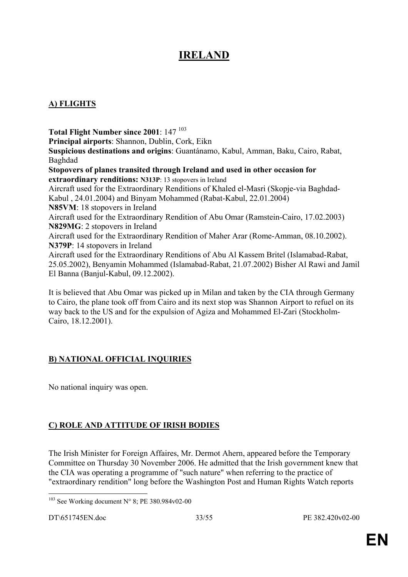# **IRELAND**

# **A) FLIGHTS**

Total Flight Number since 2001: 147<sup>103</sup> **Principal airports**: Shannon, Dublin, Cork, Eikn **Suspicious destinations and origins**: Guantánamo, Kabul, Amman, Baku, Cairo, Rabat, Baghdad **Stopovers of planes transited through Ireland and used in other occasion for extraordinary renditions: N313P**: 13 stopovers in Ireland Aircraft used for the Extraordinary Renditions of Khaled el-Masri (Skopje-via Baghdad-Kabul , 24.01.2004) and Binyam Mohammed (Rabat-Kabul, 22.01.2004) **N85VM**: 18 stopovers in Ireland Aircraft used for the Extraordinary Rendition of Abu Omar (Ramstein-Cairo, 17.02.2003) **N829MG**: 2 stopovers in Ireland Aircraft used for the Extraordinary Rendition of Maher Arar (Rome-Amman, 08.10.2002). **N379P**: 14 stopovers in Ireland Aircraft used for the Extraordinary Renditions of Abu Al Kassem Britel (Islamabad-Rabat, 25.05.2002), Benyamin Mohammed (Islamabad-Rabat, 21.07.2002) Bisher Al Rawi and Jamil El Banna (Banjul-Kabul, 09.12.2002).

It is believed that Abu Omar was picked up in Milan and taken by the CIA through Germany to Cairo, the plane took off from Cairo and its next stop was Shannon Airport to refuel on its way back to the US and for the expulsion of Agiza and Mohammed El-Zari (Stockholm-Cairo, 18.12.2001).

## **B) NATIONAL OFFICIAL INQUIRIES**

No national inquiry was open.

# **C) ROLE AND ATTITUDE OF IRISH BODIES**

The Irish Minister for Foreign Affaires, Mr. Dermot Ahern, appeared before the Temporary Committee on Thursday 30 November 2006. He admitted that the Irish government knew that the CIA was operating a programme of "such nature" when referring to the practice of "extraordinary rendition" long before the Washington Post and Human Rights Watch reports

<sup>1</sup>  $103$  See Working document N° 8; PE 380.984v02-00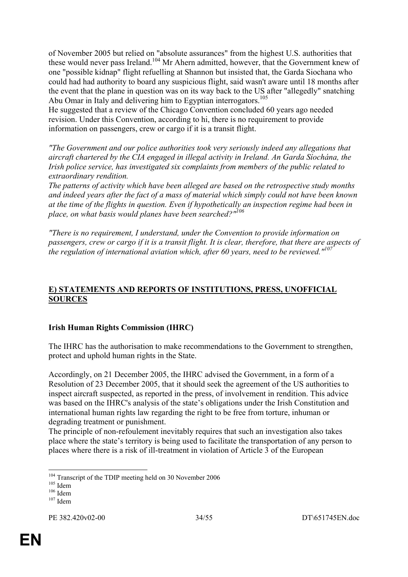of November 2005 but relied on "absolute assurances" from the highest U.S. authorities that these would never pass Ireland.<sup>104</sup> Mr Ahern admitted, however, that the Government knew of one "possible kidnap" flight refuelling at Shannon but insisted that, the Garda Siochana who could had had authority to board any suspicious flight, said wasn't aware until 18 months after the event that the plane in question was on its way back to the US after "allegedly" snatching Abu Omar in Italy and delivering him to Egyptian interrogators.<sup>105</sup>

He suggested that a review of the Chicago Convention concluded 60 years ago needed revision. Under this Convention, according to hi, there is no requirement to provide information on passengers, crew or cargo if it is a transit flight.

*"The Government and our police authorities took very seriously indeed any allegations that aircraft chartered by the CIA engaged in illegal activity in Ireland. An Garda Síochána, the Irish police service, has investigated six complaints from members of the public related to extraordinary rendition.* 

*The patterns of activity which have been alleged are based on the retrospective study months and indeed years after the fact of a mass of material which simply could not have been known at the time of the flights in question. Even if hypothetically an inspection regime had been in place, on what basis would planes have been searched?"106*

*"There is no requirement, I understand, under the Convention to provide information on passengers, crew or cargo if it is a transit flight. It is clear, therefore, that there are aspects of the regulation of international aviation which, after 60 years, need to be reviewed."<sup>107</sup>*

#### **E) STATEMENTS AND REPORTS OF INSTITUTIONS, PRESS, UNOFFICIAL SOURCES**

## **Irish Human Rights Commission (IHRC)**

The IHRC has the authorisation to make recommendations to the Government to strengthen, protect and uphold human rights in the State.

Accordingly, on 21 December 2005, the IHRC advised the Government, in a form of a Resolution of 23 December 2005, that it should seek the agreement of the US authorities to inspect aircraft suspected, as reported in the press, of involvement in rendition. This advice was based on the IHRC's analysis of the state's obligations under the Irish Constitution and international human rights law regarding the right to be free from torture, inhuman or degrading treatment or punishment.

The principle of non-refoulement inevitably requires that such an investigation also takes place where the state's territory is being used to facilitate the transportation of any person to places where there is a risk of ill-treatment in violation of Article 3 of the European

<sup>1</sup> <sup>104</sup> Transcript of the TDIP meeting held on 30 November 2006<br><sup>105</sup> Idem<br><sup>106</sup> Idem <sup>107</sup> Idem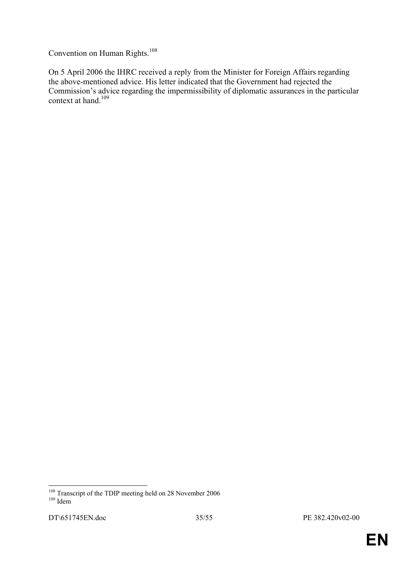Convention on Human Rights.<sup>108</sup>

On 5 April 2006 the IHRC received a reply from the Minister for Foreign Affairs regarding the above-mentioned advice. His letter indicated that the Government had rejected the Commission's advice regarding the impermissibility of diplomatic assurances in the particular context at hand.<sup>109</sup>

<sup>&</sup>lt;u>.</u> <sup>108</sup> Transcript of the TDIP meeting held on 28 November 2006<br><sup>109</sup> Idem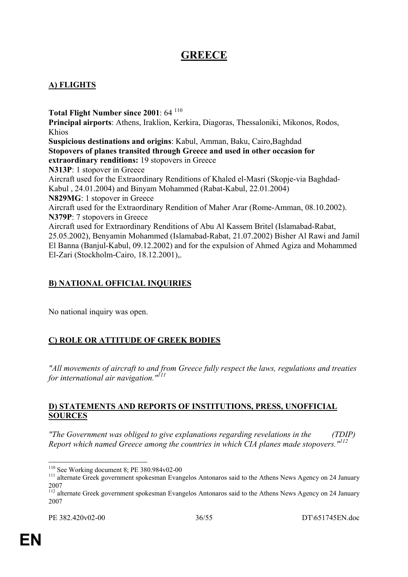# **GREECE**

## **A) FLIGHTS**

Total Flight Number since 2001: 64<sup>110</sup> **Principal airports**: Athens, Iraklion, Kerkira, Diagoras, Thessaloniki, Mikonos, Rodos, Khios **Suspicious destinations and origins**: Kabul, Amman, Baku, Cairo,Baghdad **Stopovers of planes transited through Greece and used in other occasion for extraordinary renditions:** 19 stopovers in Greece **N313P**: 1 stopover in Greece Aircraft used for the Extraordinary Renditions of Khaled el-Masri (Skopje-via Baghdad-Kabul , 24.01.2004) and Binyam Mohammed (Rabat-Kabul, 22.01.2004) **N829MG**: 1 stopover in Greece Aircraft used for the Extraordinary Rendition of Maher Arar (Rome-Amman, 08.10.2002). **N379P**: 7 stopovers in Greece Aircraft used for Extraordinary Renditions of Abu Al Kassem Britel (Islamabad-Rabat, 25.05.2002), Benyamin Mohammed (Islamabad-Rabat, 21.07.2002) Bisher Al Rawi and Jamil El Banna (Banjul-Kabul, 09.12.2002) and for the expulsion of Ahmed Agiza and Mohammed El-Zari (Stockholm-Cairo, 18.12.2001),.

# **B) NATIONAL OFFICIAL INQUIRIES**

No national inquiry was open.

# **C) ROLE OR ATTITUDE OF GREEK BODIES**

*"All movements of aircraft to and from Greece fully respect the laws, regulations and treaties for international air navigation."111*

#### **D) STATEMENTS AND REPORTS OF INSTITUTIONS, PRESS, UNOFFICIAL SOURCES**

*"The Government was obliged to give explanations regarding revelations in the (TDIP) Report which named Greece among the countries in which CIA planes made stopovers."<sup>112</sup>*

 $110$  See Working document 8; PE 380.984 $v$ 02-00

 $111$  alternate Greek government spokesman Evangelos Antonaros said to the Athens News Agency on 24 January 2007

<sup>&</sup>lt;sup>112</sup> alternate Greek government spokesman Evangelos Antonaros said to the Athens News Agency on 24 January 2007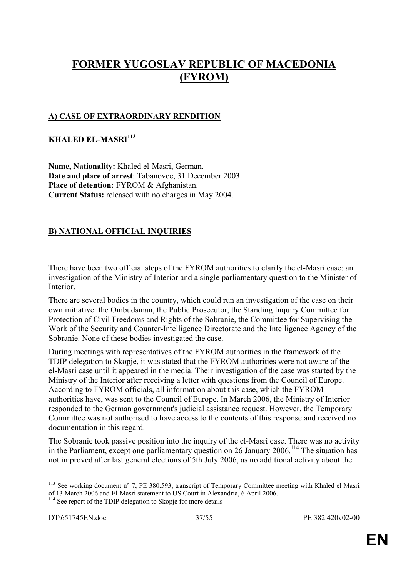# **FORMER YUGOSLAV REPUBLIC OF MACEDONIA (FYROM)**

## **A) CASE OF EXTRAORDINARY RENDITION**

## **KHALED EL-MASRI<sup>113</sup>**

**Name, Nationality:** Khaled el-Masri, German. **Date and place of arrest**: Tabanovce, 31 December 2003. **Place of detention:** FYROM & Afghanistan. **Current Status:** released with no charges in May 2004.

# **B) NATIONAL OFFICIAL INQUIRIES**

There have been two official steps of the FYROM authorities to clarify the el-Masri case: an investigation of the Ministry of Interior and a single parliamentary question to the Minister of Interior.

There are several bodies in the country, which could run an investigation of the case on their own initiative: the Ombudsman, the Public Prosecutor, the Standing Inquiry Committee for Protection of Civil Freedoms and Rights of the Sobranie, the Committee for Supervising the Work of the Security and Counter-Intelligence Directorate and the Intelligence Agency of the Sobranie. None of these bodies investigated the case.

During meetings with representatives of the FYROM authorities in the framework of the TDIP delegation to Skopje, it was stated that the FYROM authorities were not aware of the el-Masri case until it appeared in the media. Their investigation of the case was started by the Ministry of the Interior after receiving a letter with questions from the Council of Europe. According to FYROM officials, all information about this case, which the FYROM authorities have, was sent to the Council of Europe. In March 2006, the Ministry of Interior responded to the German government's judicial assistance request. However, the Temporary Committee was not authorised to have access to the contents of this response and received no documentation in this regard.

The Sobranie took passive position into the inquiry of the el-Masri case. There was no activity in the Parliament, except one parliamentary question on 26 January 2006.<sup>114</sup> The situation has not improved after last general elections of 5th July 2006, as no additional activity about the

<sup>&</sup>lt;sup>113</sup> See working document n° 7, PE 380.593, transcript of Temporary Committee meeting with Khaled el Masri of 13 March 2006 and El-Masri statement to US Court in Alexandria, 6 April 2006.

<sup>&</sup>lt;sup>114</sup> See report of the TDIP delegation to Skopje for more details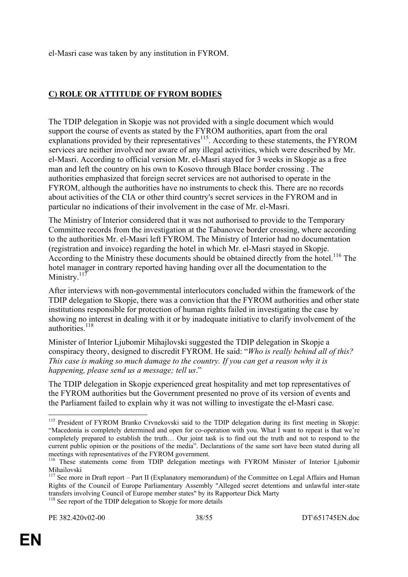el-Masri case was taken by any institution in FYROM.

# **C) ROLE OR ATTITUDE OF FYROM BODIES**

The TDIP delegation in Skopje was not provided with a single document which would support the course of events as stated by the FYROM authorities, apart from the oral explanations provided by their representatives<sup>115</sup>. According to these statements, the FYROM services are neither involved nor aware of any illegal activities, which were described by Mr. el-Masri. According to official version Mr. el-Masri stayed for 3 weeks in Skopje as a free man and left the country on his own to Kosovo through Blace border crossing . The authorities emphasized that foreign secret services are not authorised to operate in the FYROM, although the authorities have no instruments to check this. There are no records about activities of the CIA or other third country's secret services in the FYROM and in particular no indications of their involvement in the case of Mr. el-Masri.

The Ministry of Interior considered that it was not authorised to provide to the Temporary Committee records from the investigation at the Tabanovce border crossing, where according to the authorities Mr. el-Masri left FYROM. The Ministry of Interior had no documentation (registration and invoice) regarding the hotel in which Mr. el-Masri stayed in Skopje. According to the Ministry these documents should be obtained directly from the hotel.<sup>116</sup> The hotel manager in contrary reported having handing over all the documentation to the Ministry. $117$ 

After interviews with non-governmental interlocutors concluded within the framework of the TDIP delegation to Skopje, there was a conviction that the FYROM authorities and other state institutions responsible for protection of human rights failed in investigating the case by showing no interest in dealing with it or by inadequate initiative to clarify involvement of the authorities.<sup>118</sup>

Minister of Interior Ljubomir Mihajlovski suggested the TDIP delegation in Skopje a conspiracy theory, designed to discredit FYROM. He said: "*Who is really behind all of this? This case is making so much damage to the country. If you can get a reason why it is happening, please send us a message; tell us*."

The TDIP delegation in Skopje experienced great hospitality and met top representatives of the FYROM authorities but the Government presented no prove of its version of events and the Parliament failed to explain why it was not willing to investigate the el-Masri case.

<u>.</u>

<sup>&</sup>lt;sup>115</sup> President of FYROM Branko Crvnekovski said to the TDIP delegation during its first meeting in Skopje: "Macedonia is completely determined and open for co-operation with you. What I want to repeat is that we're completely prepared to establish the truth… Our joint task is to find out the truth and not to respond to the current public opinion or the positions of the media". Declarations of the same sort have been stated during all meetings with representatives of the FYROM government.<br><sup>116</sup> These statements come from TDIP delegation meetings with FYROM Minister of Interior Ljubomir

Mihailovski

<sup>&</sup>lt;sup>117</sup> See more in Draft report – Part II (Explanatory memorandum) of the Committee on Legal Affairs and Human Rights of the Council of Europe Parliamentary Assembly "Alleged secret detentions and unlawful inter-state transfers involving Council of Europe member states" by its Rapporteur Dick Marty 118 See report of the TDIP delegation to Skopje for more details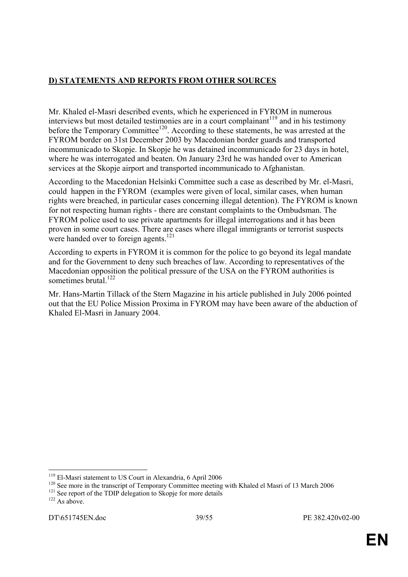# **D) STATEMENTS AND REPORTS FROM OTHER SOURCES**

Mr. Khaled el-Masri described events, which he experienced in FYROM in numerous interviews but most detailed testimonies are in a court complainant<sup>119</sup> and in his testimony before the Temporary Committee<sup>120</sup>. According to these statements, he was arrested at the FYROM border on 31st December 2003 by Macedonian border guards and transported incommunicado to Skopje. In Skopje he was detained incommunicado for 23 days in hotel, where he was interrogated and beaten. On January 23rd he was handed over to American services at the Skopje airport and transported incommunicado to Afghanistan.

According to the Macedonian Helsinki Committee such a case as described by Mr. el-Masri, could happen in the FYROM (examples were given of local, similar cases, when human rights were breached, in particular cases concerning illegal detention). The FYROM is known for not respecting human rights - there are constant complaints to the Ombudsman. The FYROM police used to use private apartments for illegal interrogations and it has been proven in some court cases. There are cases where illegal immigrants or terrorist suspects were handed over to foreign agents.<sup>121</sup>

According to experts in FYROM it is common for the police to go beyond its legal mandate and for the Government to deny such breaches of law. According to representatives of the Macedonian opposition the political pressure of the USA on the FYROM authorities is sometimes brutal.<sup>122</sup>

Mr. Hans-Martin Tillack of the Stern Magazine in his article published in July 2006 pointed out that the EU Police Mission Proxima in FYROM may have been aware of the abduction of Khaled El-Masri in January 2004.

<sup>&</sup>lt;sup>119</sup> El-Masri statement to US Court in Alexandria, 6 April 2006

<sup>&</sup>lt;sup>120</sup> See more in the transcript of Temporary Committee meeting with Khaled el Masri of 13 March 2006<sup>121</sup> See report of the TDIP delegation to Skopje for more details <sup>122</sup> As above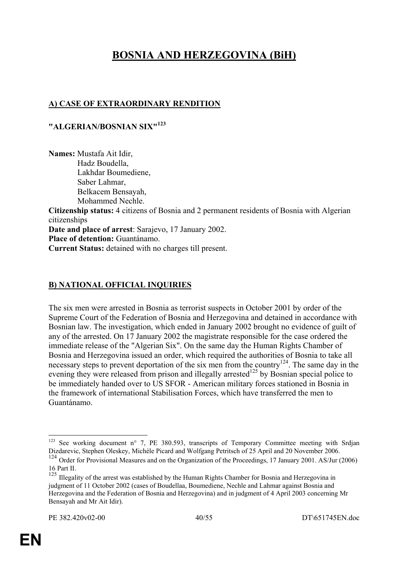# **BOSNIA AND HERZEGOVINA (BiH)**

# **A) CASE OF EXTRAORDINARY RENDITION**

#### **"ALGERIAN/BOSNIAN SIX"<sup>123</sup>**

**Names:** Mustafa Ait Idir, Hadz Boudella, Lakhdar Boumediene, Saber Lahmar, Belkacem Bensayah, Mohammed Nechle. **Citizenship status:** 4 citizens of Bosnia and 2 permanent residents of Bosnia with Algerian citizenships **Date and place of arrest**: Sarajevo, 17 January 2002. **Place of detention:** Guantánamo. **Current Status:** detained with no charges till present.

## **B) NATIONAL OFFICIAL INQUIRIES**

The six men were arrested in Bosnia as terrorist suspects in October 2001 by order of the Supreme Court of the Federation of Bosnia and Herzegovina and detained in accordance with Bosnian law. The investigation, which ended in January 2002 brought no evidence of guilt of any of the arrested. On 17 January 2002 the magistrate responsible for the case ordered the immediate release of the "Algerian Six". On the same day the Human Rights Chamber of Bosnia and Herzegovina issued an order, which required the authorities of Bosnia to take all necessary steps to prevent deportation of the six men from the country<sup>124</sup>. The same day in the evening they were released from prison and illegally arrested<sup>125</sup> by Bosnian special police to be immediately handed over to US SFOR - American military forces stationed in Bosnia in the framework of international Stabilisation Forces, which have transferred the men to Guantánamo.

<u>.</u>

<sup>&</sup>lt;sup>123</sup> See working document n° 7, PE 380.593, transcripts of Temporary Committee meeting with Srdjan Dizdarevic, Stephen Oleskey, Michèle Picard and Wolfgang Petritsch of 25 April and 20 November 2006.

<sup>&</sup>lt;sup>124</sup> Order for Provisional Measures and on the Organization of the Proceedings, 17 January 2001. AS/Jur (2006) 16 Part II.

<sup>&</sup>lt;sup>125</sup> Illegality of the arrest was established by the Human Rights Chamber for Bosnia and Herzegovina in judgment of 11 October 2002 (cases of Boudellaa, Boumediene, Nechle and Lahmar against Bosnia and Herzegovina and the Federation of Bosnia and Herzegovina) and in judgment of 4 April 2003 concerning Mr Bensayah and Mr Ait Idir).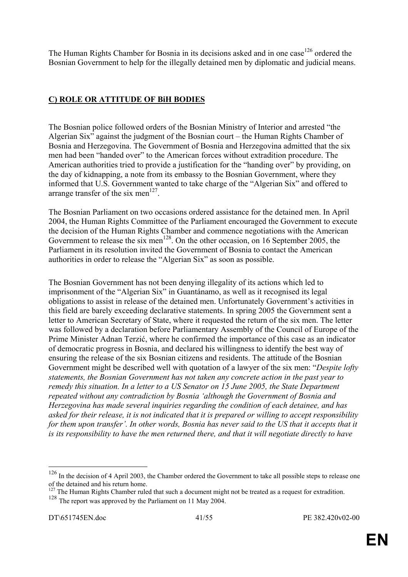The Human Rights Chamber for Bosnia in its decisions asked and in one case  $126$  ordered the Bosnian Government to help for the illegally detained men by diplomatic and judicial means.

# **C) ROLE OR ATTITUDE OF BiH BODIES**

The Bosnian police followed orders of the Bosnian Ministry of Interior and arrested "the Algerian Six" against the judgment of the Bosnian court – the Human Rights Chamber of Bosnia and Herzegovina. The Government of Bosnia and Herzegovina admitted that the six men had been "handed over" to the American forces without extradition procedure. The American authorities tried to provide a justification for the "handing over" by providing, on the day of kidnapping, a note from its embassy to the Bosnian Government, where they informed that U.S. Government wanted to take charge of the "Algerian Six" and offered to arrange transfer of the six men<sup>127</sup>.

The Bosnian Parliament on two occasions ordered assistance for the detained men. In April 2004, the Human Rights Committee of the Parliament encouraged the Government to execute the decision of the Human Rights Chamber and commence negotiations with the American Government to release the six men<sup>128</sup>. On the other occasion, on 16 September 2005, the Parliament in its resolution invited the Government of Bosnia to contact the American authorities in order to release the "Algerian Six" as soon as possible.

The Bosnian Government has not been denying illegality of its actions which led to imprisonment of the "Algerian Six" in Guantánamo, as well as it recognised its legal obligations to assist in release of the detained men. Unfortunately Government's activities in this field are barely exceeding declarative statements. In spring 2005 the Government sent a letter to American Secretary of State, where it requested the return of the six men. The letter was followed by a declaration before Parliamentary Assembly of the Council of Europe of the Prime Minister Adnan Terzić, where he confirmed the importance of this case as an indicator of democratic progress in Bosnia, and declared his willingness to identify the best way of ensuring the release of the six Bosnian citizens and residents. The attitude of the Bosnian Government might be described well with quotation of a lawyer of the six men: "*Despite lofty statements, the Bosnian Government has not taken any concrete action in the past year to remedy this situation. In a letter to a US Senator on 15 June 2005, the State Department repeated without any contradiction by Bosnia 'although the Government of Bosnia and Herzegovina has made several inquiries regarding the condition of each detainee, and has asked for their release, it is not indicated that it is prepared or willing to accept responsibility*  for them upon transfer'. In other words, Bosnia has never said to the US that it accepts that it *is its responsibility to have the men returned there, and that it will negotiate directly to have* 

 $126$  In the decision of 4 April 2003, the Chamber ordered the Government to take all possible steps to release one of the detained and his return home.

 $127$  The Human Rights Chamber ruled that such a document might not be treated as a request for extradition. <sup>128</sup> The report was approved by the Parliament on 11 May 2004.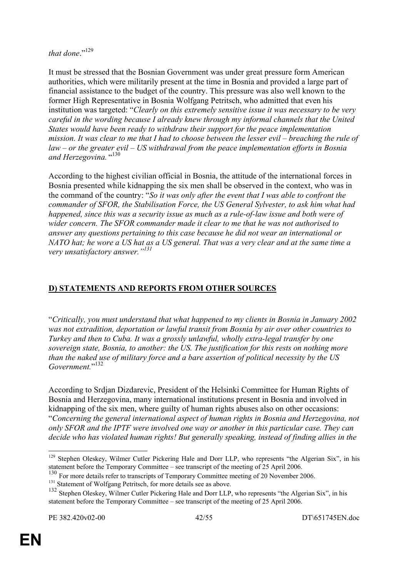that done<sup>"129</sup>

It must be stressed that the Bosnian Government was under great pressure form American authorities, which were militarily present at the time in Bosnia and provided a large part of financial assistance to the budget of the country. This pressure was also well known to the former High Representative in Bosnia Wolfgang Petritsch, who admitted that even his institution was targeted: "*Clearly on this extremely sensitive issue it was necessary to be very careful in the wording because I already knew through my informal channels that the United States would have been ready to withdraw their support for the peace implementation mission. It was clear to me that I had to choose between the lesser evil – breaching the rule of law – or the greater evil – US withdrawal from the peace implementation efforts in Bosnia and Herzegovina.* " 130

According to the highest civilian official in Bosnia, the attitude of the international forces in Bosnia presented while kidnapping the six men shall be observed in the context, who was in the command of the country: "*So it was only after the event that I was able to confront the commander of SFOR, the Stabilisation Force, the US General Sylvester, to ask him what had happened, since this was a security issue as much as a rule-of-law issue and both were of wider concern. The SFOR commander made it clear to me that he was not authorised to answer any questions pertaining to this case because he did not wear an international or NATO hat; he wore a US hat as a US general. That was a very clear and at the same time a very unsatisfactory answer."131*

# **D) STATEMENTS AND REPORTS FROM OTHER SOURCES**

"*Critically, you must understand that what happened to my clients in Bosnia in January 2002 was not extradition, deportation or lawful transit from Bosnia by air over other countries to Turkey and then to Cuba. It was a grossly unlawful, wholly extra-legal transfer by one sovereign state, Bosnia, to another: the US. The justification for this rests on nothing more than the naked use of military force and a bare assertion of political necessity by the US*  Government."<sup>132</sup>

According to Srdjan Dizdarevic, President of the Helsinki Committee for Human Rights of Bosnia and Herzegovina, many international institutions present in Bosnia and involved in kidnapping of the six men, where guilty of human rights abuses also on other occasions: "*Concerning the general international aspect of human rights in Bosnia and Herzegovina, not only SFOR and the IPTF were involved one way or another in this particular case. They can decide who has violated human rights! But generally speaking, instead of finding allies in the* 

<sup>1</sup> <sup>129</sup> Stephen Oleskey, Wilmer Cutler Pickering Hale and Dorr LLP, who represents "the Algerian Six", in his statement before the Temporary Committee – see transcript of the meeting of 25 April 2006.

 $130$  For more details refer to transcripts of Temporary Committee meeting of 20 November 2006.<br> $131$  Statement of Wolfgang Petritsch, for more details see as above.

<sup>131</sup> Statement of Wolfgang Petritsch, for more details see as above.<br><sup>132</sup> Stephen Oleskey, Wilmer Cutler Pickering Hale and Dorr LLP, who represents "the Algerian Six", in his statement before the Temporary Committee – see transcript of the meeting of 25 April 2006.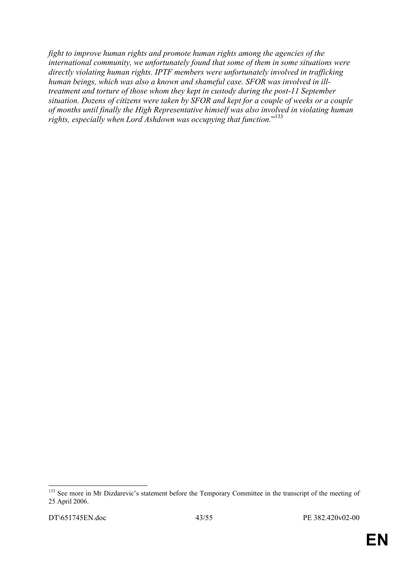*fight to improve human rights and promote human rights among the agencies of the international community, we unfortunately found that some of them in some situations were directly violating human rights. IPTF members were unfortunately involved in trafficking human beings, which was also a known and shameful case. SFOR was involved in illtreatment and torture of those whom they kept in custody during the post-11 September situation. Dozens of citizens were taken by SFOR and kept for a couple of weeks or a couple of months until finally the High Representative himself was also involved in violating human rights, especially when Lord Ashdown was occupying that function.*" 133

<sup>&</sup>lt;u>.</u> <sup>133</sup> See more in Mr Dizdarevic's statement before the Temporary Committee in the transcript of the meeting of 25 April 2006.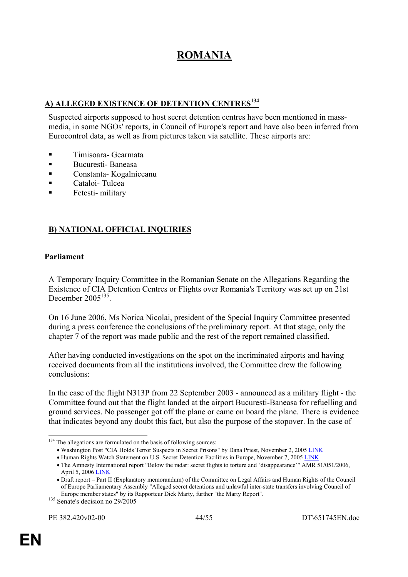# **ROMANIA**

## **A) ALLEGED EXISTENCE OF DETENTION CENTRES<sup>134</sup>**

Suspected airports supposed to host secret detention centres have been mentioned in massmedia, in some NGOs' reports, in Council of Europe's report and have also been inferred from Eurocontrol data, as well as from pictures taken via satellite. These airports are:

- **Timisoara- Gearmata**
- Bucuresti- Baneasa
- Constanta- Kogalniceanu
- Cataloi- Tulcea
- Fetesti- military

## **B) NATIONAL OFFICIAL INQUIRIES**

#### **Parliament**

A Temporary Inquiry Committee in the Romanian Senate on the Allegations Regarding the Existence of CIA Detention Centres or Flights over Romania's Territory was set up on 21st December 2005<sup>135</sup>

On 16 June 2006, Ms Norica Nicolai, president of the Special Inquiry Committee presented during a press conference the conclusions of the preliminary report. At that stage, only the chapter 7 of the report was made public and the rest of the report remained classified.

After having conducted investigations on the spot on the incriminated airports and having received documents from all the institutions involved, the Committee drew the following conclusions:

In the case of the flight N313P from 22 September 2003 - announced as a military flight - the Committee found out that the flight landed at the airport Bucuresti-Baneasa for refuelling and ground services. No passenger got off the plane or came on board the plane. There is evidence that indicates beyond any doubt this fact, but also the purpose of the stopover. In the case of

<sup>&</sup>lt;sup>134</sup> The allegations are formulated on the basis of following sources:

<sup>•</sup> Washington Post "CIA Holds Terror Suspects in Secret Prisons" by Dana Priest, November 2, 2005 LINK

<sup>•</sup> Human Rights Watch Statement on U.S. Secret Detention Facilities in Europe, November 7, 2005 LINK

<sup>•</sup> The Amnesty International report "Below the radar: secret flights to torture and 'disappearance'" AMR 51/051/2006, April 5, 2006 LINK

<sup>•</sup> Draft report – Part II (Explanatory memorandum) of the Committee on Legal Affairs and Human Rights of the Council of Europe Parliamentary Assembly "Alleged secret detentions and unlawful inter-state transfers involving Council of Europe member states" by its Rapporteur Dick Marty, further "the Marty Report". 135 Senate's decision no 29/2005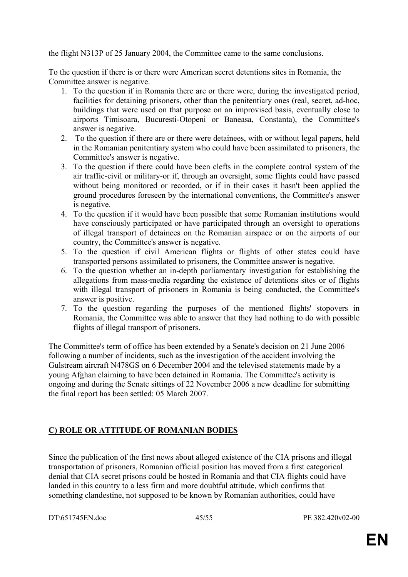the flight N313P of 25 January 2004, the Committee came to the same conclusions.

To the question if there is or there were American secret detentions sites in Romania, the Committee answer is negative.

- 1. To the question if in Romania there are or there were, during the investigated period, facilities for detaining prisoners, other than the penitentiary ones (real, secret, ad-hoc, buildings that were used on that purpose on an improvised basis, eventually close to airports Timisoara, Bucuresti-Otopeni or Baneasa, Constanta), the Committee's answer is negative.
- 2. To the question if there are or there were detainees, with or without legal papers, held in the Romanian penitentiary system who could have been assimilated to prisoners, the Committee's answer is negative.
- 3. To the question if there could have been clefts in the complete control system of the air traffic-civil or military-or if, through an oversight, some flights could have passed without being monitored or recorded, or if in their cases it hasn't been applied the ground procedures foreseen by the international conventions, the Committee's answer is negative.
- 4. To the question if it would have been possible that some Romanian institutions would have consciously participated or have participated through an oversight to operations of illegal transport of detainees on the Romanian airspace or on the airports of our country, the Committee's answer is negative.
- 5. To the question if civil American flights or flights of other states could have transported persons assimilated to prisoners, the Committee answer is negative.
- 6. To the question whether an in-depth parliamentary investigation for establishing the allegations from mass-media regarding the existence of detentions sites or of flights with illegal transport of prisoners in Romania is being conducted, the Committee's answer is positive.
- 7. To the question regarding the purposes of the mentioned flights' stopovers in Romania, the Committee was able to answer that they had nothing to do with possible flights of illegal transport of prisoners.

The Committee's term of office has been extended by a Senate's decision on 21 June 2006 following a number of incidents, such as the investigation of the accident involving the Gulstream aircraft N478GS on 6 December 2004 and the televised statements made by a young Afghan claiming to have been detained in Romania. The Committee's activity is ongoing and during the Senate sittings of 22 November 2006 a new deadline for submitting the final report has been settled: 05 March 2007.

## **C) ROLE OR ATTITUDE OF ROMANIAN BODIES**

Since the publication of the first news about alleged existence of the CIA prisons and illegal transportation of prisoners, Romanian official position has moved from a first categorical denial that CIA secret prisons could be hosted in Romania and that CIA flights could have landed in this country to a less firm and more doubtful attitude, which confirms that something clandestine, not supposed to be known by Romanian authorities, could have

DT\651745EN.doc 45/55 PE 382.420v02-00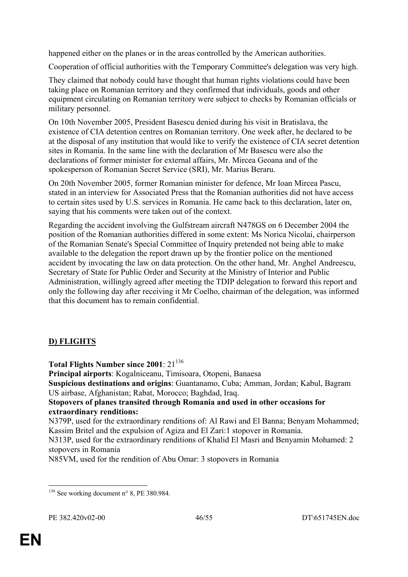happened either on the planes or in the areas controlled by the American authorities.

Cooperation of official authorities with the Temporary Committee's delegation was very high.

They claimed that nobody could have thought that human rights violations could have been taking place on Romanian territory and they confirmed that individuals, goods and other equipment circulating on Romanian territory were subject to checks by Romanian officials or military personnel.

On 10th November 2005, President Basescu denied during his visit in Bratislava, the existence of CIA detention centres on Romanian territory. One week after, he declared to be at the disposal of any institution that would like to verify the existence of CIA secret detention sites in Romania. In the same line with the declaration of Mr Basescu were also the declarations of former minister for external affairs, Mr. Mircea Geoana and of the spokesperson of Romanian Secret Service (SRI), Mr. Marius Beraru.

On 20th November 2005, former Romanian minister for defence, Mr Ioan Mircea Pascu, stated in an interview for Associated Press that the Romanian authorities did not have access to certain sites used by U.S. services in Romania. He came back to this declaration, later on, saying that his comments were taken out of the context.

Regarding the accident involving the Gulfstream aircraft N478GS on 6 December 2004 the position of the Romanian authorities differed in some extent: Ms Norica Nicolai, chairperson of the Romanian Senate's Special Committee of Inquiry pretended not being able to make available to the delegation the report drawn up by the frontier police on the mentioned accident by invocating the law on data protection. On the other hand, Mr. Anghel Andreescu, Secretary of State for Public Order and Security at the Ministry of Interior and Public Administration, willingly agreed after meeting the TDIP delegation to forward this report and only the following day after receiving it Mr Coelho, chairman of the delegation, was informed that this document has to remain confidential.

# **D) FLIGHTS**

Total Flights Number since 2001: 21<sup>136</sup>

**Principal airports**: Kogalniceanu, Timisoara, Otopeni, Banaesa

**Suspicious destinations and origins**: Guantanamo, Cuba; Amman, Jordan; Kabul, Bagram US airbase, Afghanistan; Rabat, Morocco; Baghdad, Iraq.

#### **Stopovers of planes transited through Romania and used in other occasions for extraordinary renditions:**

N379P, used for the extraordinary renditions of: Al Rawi and El Banna; Benyam Mohammed; Kassim Britel and the expulsion of Agiza and El Zari:1 stopover in Romania.

N313P, used for the extraordinary renditions of Khalid El Masri and Benyamin Mohamed: 2 stopovers in Romania

N85VM, used for the rendition of Abu Omar: 3 stopovers in Romania

<sup>&</sup>lt;u>.</u>  $136$  See working document n° 8, PE 380.984.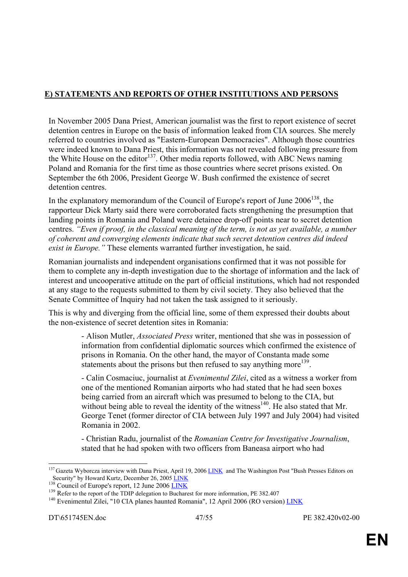# **E) STATEMENTS AND REPORTS OF OTHER INSTITUTIONS AND PERSONS**

In November 2005 Dana Priest, American journalist was the first to report existence of secret detention centres in Europe on the basis of information leaked from CIA sources. She merely referred to countries involved as "Eastern-European Democracies". Although those countries were indeed known to Dana Priest, this information was not revealed following pressure from the White House on the editor<sup>137</sup>. Other media reports followed, with ABC News naming Poland and Romania for the first time as those countries where secret prisons existed. On September the 6th 2006, President George W. Bush confirmed the existence of secret detention centres.

In the explanatory memorandum of the Council of Europe's report of June  $2006^{138}$ , the rapporteur Dick Marty said there were corroborated facts strengthening the presumption that landing points in Romania and Poland were detainee drop-off points near to secret detention centres. *"Even if proof, in the classical meaning of the term, is not as yet available, a number of coherent and converging elements indicate that such secret detention centres did indeed exist in Europe."* These elements warranted further investigation, he said.

Romanian journalists and independent organisations confirmed that it was not possible for them to complete any in-depth investigation due to the shortage of information and the lack of interest and uncooperative attitude on the part of official institutions, which had not responded at any stage to the requests submitted to them by civil society. They also believed that the Senate Committee of Inquiry had not taken the task assigned to it seriously.

This is why and diverging from the official line, some of them expressed their doubts about the non-existence of secret detention sites in Romania:

> - Alison Mutler, *Associated Press* writer, mentioned that she was in possession of information from confidential diplomatic sources which confirmed the existence of prisons in Romania. On the other hand, the mayor of Constanta made some statements about the prisons but then refused to say anything more<sup>139</sup>.

 - Calin Cosmaciuc, journalist at *Evenimentul Zilei*, cited as a witness a worker from one of the mentioned Romanian airports who had stated that he had seen boxes being carried from an aircraft which was presumed to belong to the CIA, but without being able to reveal the identity of the witness<sup>140</sup>. He also stated that Mr. George Tenet (former director of CIA between July 1997 and July 2004) had visited Romania in 2002.

 - Christian Radu, journalist of the *Romanian Centre for Investigative Journalism*, stated that he had spoken with two officers from Baneasa airport who had

<sup>1</sup> <sup>137</sup> Gazeta Wyborcza interview with Dana Priest, April 19, 2006 LINK and The Washington Post "Bush Presses Editors on Security" by Howard Kurtz, December 26, 2005 LINK<br>
<sup>138</sup> Council of Europe's report, 12 June 2006 LINK<br>
<sup>139</sup> Refer to the report of the TDIP delegation to Bucharest for more information, PE 382.407<br>
<sup>140</sup> Evenimentul Zile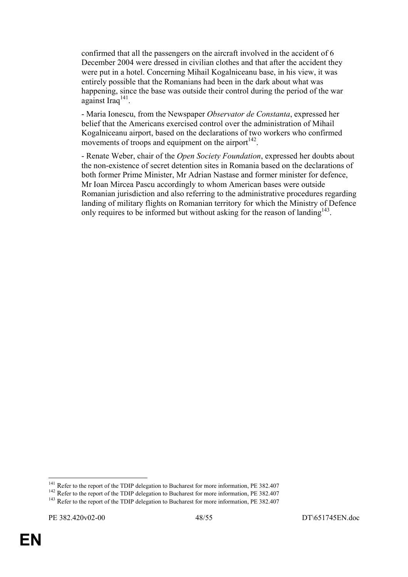confirmed that all the passengers on the aircraft involved in the accident of 6 December 2004 were dressed in civilian clothes and that after the accident they were put in a hotel. Concerning Mihail Kogalniceanu base, in his view, it was entirely possible that the Romanians had been in the dark about what was happening, since the base was outside their control during the period of the war against Iraq $^{141}$ .

 - Maria Ionescu, from the Newspaper *Observator de Constanta*, expressed her belief that the Americans exercised control over the administration of Mihail Kogalniceanu airport, based on the declarations of two workers who confirmed movements of troops and equipment on the airport  $142$ .

 - Renate Weber, chair of the *Open Society Foundation*, expressed her doubts about the non-existence of secret detention sites in Romania based on the declarations of both former Prime Minister, Mr Adrian Nastase and former minister for defence, Mr Ioan Mircea Pascu accordingly to whom American bases were outside Romanian jurisdiction and also referring to the administrative procedures regarding landing of military flights on Romanian territory for which the Ministry of Defence only requires to be informed but without asking for the reason of landing<sup>143</sup>.

<sup>&</sup>lt;sup>141</sup> Refer to the report of the TDIP delegation to Bucharest for more information, PE 382.407

<sup>&</sup>lt;sup>142</sup> Refer to the report of the TDIP delegation to Bucharest for more information, PE 382.407<br><sup>143</sup> Refer to the report of the TDIP delegation to Bucharest for more information, PE 382.407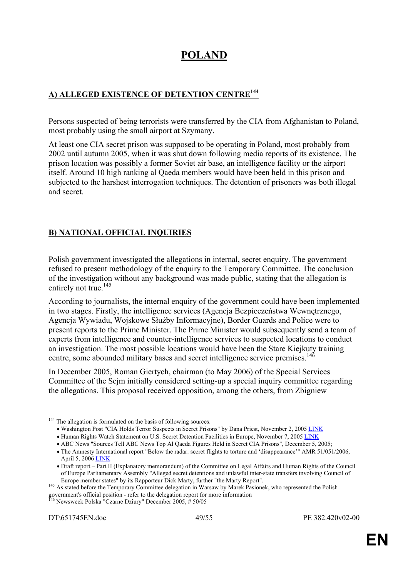# **POLAND**

# **A) ALLEGED EXISTENCE OF DETENTION CENTRE<sup>144</sup>**

Persons suspected of being terrorists were transferred by the CIA from Afghanistan to Poland, most probably using the small airport at Szymany.

At least one CIA secret prison was supposed to be operating in Poland, most probably from 2002 until autumn 2005, when it was shut down following media reports of its existence. The prison location was possibly a former Soviet air base, an intelligence facility or the airport itself. Around 10 high ranking al Qaeda members would have been held in this prison and subjected to the harshest interrogation techniques. The detention of prisoners was both illegal and secret.

# **B) NATIONAL OFFICIAL INQUIRIES**

Polish government investigated the allegations in internal, secret enquiry. The government refused to present methodology of the enquiry to the Temporary Committee. The conclusion of the investigation without any background was made public, stating that the allegation is entirely not true. $145$ 

According to journalists, the internal enquiry of the government could have been implemented in two stages. Firstly, the intelligence services (Agencja Bezpieczeństwa Wewnętrznego, Agencja Wywiadu, Wojskowe Służby Informacyjne), Border Guards and Police were to present reports to the Prime Minister. The Prime Minister would subsequently send a team of experts from intelligence and counter-intelligence services to suspected locations to conduct an investigation. The most possible locations would have been the Stare Kiejkuty training centre, some abounded military bases and secret intelligence service premises.<sup>146</sup>

In December 2005, Roman Giertych, chairman (to May 2006) of the Special Services Committee of the Sejm initially considered setting-up a special inquiry committee regarding the allegations. This proposal received opposition, among the others, from Zbigniew

<sup>&</sup>lt;sup>144</sup> The allegation is formulated on the basis of following sources:

<sup>•</sup> Washington Post "CIA Holds Terror Suspects in Secret Prisons" by Dana Priest, November 2, 2005 LINK

<sup>•</sup> Human Rights Watch Statement on U.S. Secret Detention Facilities in Europe, November 7, 2005 LINK

<sup>•</sup> ABC News "Sources Tell ABC News Top Al Qaeda Figures Held in Secret CIA Prisons", December 5, 2005;

<sup>•</sup> The Amnesty International report "Below the radar: secret flights to torture and 'disappearance'" AMR 51/051/2006, April 5, 2006 LINK

<sup>•</sup> Draft report – Part II (Explanatory memorandum) of the Committee on Legal Affairs and Human Rights of the Council of Europe Parliamentary Assembly "Alleged secret detentions and unlawful inter-state transfers involving Council of

Europe member states" by its Rapporteur Dick Marty, further "the Marty Report". 145 As stated before the Temporary Committee delegation in Warsaw by Marek Pasionek, who represented the Polish government's official position - refer to the delegation report for more information <sup>146</sup> Newsweek Polska "Czarne Dziury" December 2005, # 50/05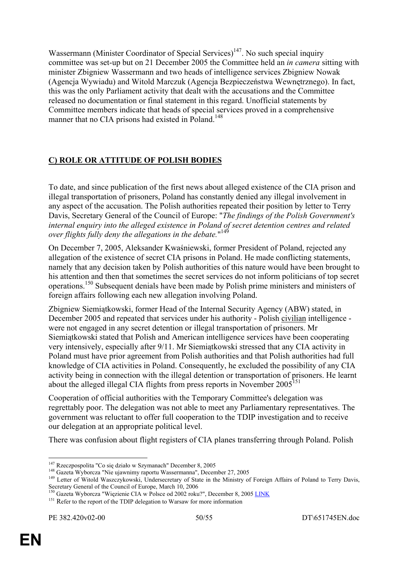Wassermann (Minister Coordinator of Special Services) $147$ . No such special inquiry committee was set-up but on 21 December 2005 the Committee held an *in camera* sitting with minister Zbigniew Wassermann and two heads of intelligence services Zbigniew Nowak (Agencja Wywiadu) and Witold Marczuk (Agencja Bezpieczeństwa Wewnętrznego). In fact, this was the only Parliament activity that dealt with the accusations and the Committee released no documentation or final statement in this regard. Unofficial statements by Committee members indicate that heads of special services proved in a comprehensive manner that no CIA prisons had existed in Poland.<sup>148</sup>

# **C) ROLE OR ATTITUDE OF POLISH BODIES**

To date, and since publication of the first news about alleged existence of the CIA prison and illegal transportation of prisoners, Poland has constantly denied any illegal involvement in any aspect of the accusation. The Polish authorities repeated their position by letter to Terry Davis, Secretary General of the Council of Europe: "*The findings of the Polish Government's internal enquiry into the alleged existence in Poland of secret detention centres and related over flights fully deny the allegations in the debate.*" 149

On December 7, 2005, Aleksander Kwaśniewski, former President of Poland, rejected any allegation of the existence of secret CIA prisons in Poland. He made conflicting statements, namely that any decision taken by Polish authorities of this nature would have been brought to his attention and then that sometimes the secret services do not inform politicians of top secret operations.150 Subsequent denials have been made by Polish prime ministers and ministers of foreign affairs following each new allegation involving Poland.

Zbigniew Siemiątkowski, former Head of the Internal Security Agency (ABW) stated, in December 2005 and repeated that services under his authority - Polish civilian intelligence were not engaged in any secret detention or illegal transportation of prisoners. Mr Siemiątkowski stated that Polish and American intelligence services have been cooperating very intensively, especially after 9/11. Mr Siemiątkowski stressed that any CIA activity in Poland must have prior agreement from Polish authorities and that Polish authorities had full knowledge of CIA activities in Poland. Consequently, he excluded the possibility of any CIA activity being in connection with the illegal detention or transportation of prisoners. He learnt about the alleged illegal CIA flights from press reports in November  $2005^{151}$ 

Cooperation of official authorities with the Temporary Committee's delegation was regrettably poor. The delegation was not able to meet any Parliamentary representatives. The government was reluctant to offer full cooperation to the TDIP investigation and to receive our delegation at an appropriate political level.

There was confusion about flight registers of CIA planes transferring through Poland. Polish

<sup>&</sup>lt;sup>147</sup> Rzeczpospolita "Co się działo w Szymanach" December 8, 2005

<sup>&</sup>lt;sup>148</sup> Gazeta Wyborcza "Nie ujawnimy raportu Wassermanna", December 27, 2005<br><sup>149</sup> Letter of Witold Waszczykowski, Undersecretary of State in the Ministry of Foreign Affairs of Poland to Terry Davis,<br>Secretary General of th

<sup>&</sup>lt;sup>150</sup> Gazeta Wyborcza "Więzienie CIA w Polsce od 2002 roku?", December 8, 2005 LINK

<sup>&</sup>lt;sup>151</sup> Refer to the report of the TDIP delegation to Warsaw for more information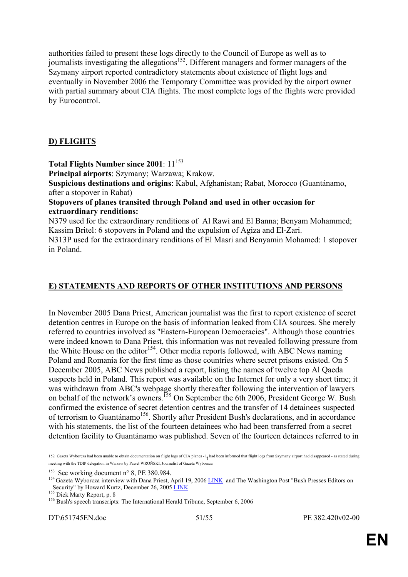authorities failed to present these logs directly to the Council of Europe as well as to journalists investigating the allegations<sup>152</sup>. Different managers and former managers of the Szymany airport reported contradictory statements about existence of flight logs and eventually in November 2006 the Temporary Committee was provided by the airport owner with partial summary about CIA flights. The most complete logs of the flights were provided by Eurocontrol.

## **D) FLIGHTS**

**Total Flights Number since 2001**: 11<sup>153</sup>

**Principal airports**: Szymany; Warzawa; Krakow.

**Suspicious destinations and origins**: Kabul, Afghanistan; Rabat, Morocco (Guantánamo, after a stopover in Rabat)

#### **Stopovers of planes transited through Poland and used in other occasion for extraordinary renditions:**

N379 used for the extraordinary renditions of Al Rawi and El Banna; Benyam Mohammed; Kassim Britel: 6 stopovers in Poland and the expulsion of Agiza and El-Zari. N313P used for the extraordinary renditions of El Masri and Benyamin Mohamed: 1 stopover

in Poland.

#### **E) STATEMENTS AND REPORTS OF OTHER INSTITUTIONS AND PERSONS**

In November 2005 Dana Priest, American journalist was the first to report existence of secret detention centres in Europe on the basis of information leaked from CIA sources. She merely referred to countries involved as "Eastern-European Democracies". Although those countries were indeed known to Dana Priest, this information was not revealed following pressure from the White House on the editor<sup>154</sup>. Other media reports followed, with ABC News naming Poland and Romania for the first time as those countries where secret prisons existed. On 5 December 2005, ABC News published a report, listing the names of twelve top Al Qaeda suspects held in Poland. This report was available on the Internet for only a very short time; it was withdrawn from ABC's webpage shortly thereafter following the intervention of lawyers on behalf of the network's owners.<sup>155</sup> On September the 6th 2006, President George W. Bush confirmed the existence of secret detention centres and the transfer of 14 detainees suspected of terrorism to Guantánamo<sup>156</sup>. Shortly after President Bush's declarations, and in accordance with his statements, the list of the fourteen detainees who had been transferred from a secret detention facility to Guantánamo was published. Seven of the fourteen detainees referred to in

<sup>1</sup> <sup>152</sup> Gazeta Wyborcza had been unable to obtain documentation on flight logs of CIA planes - it had been informed that flight logs from Szymany airport had disappeared - as stated during meeting with the TDIP delegation in Warsaw by Paweł WROŃSKI, Journalist of Gazeta Wyborcza

<sup>&</sup>lt;sup>153</sup> See working document n° 8, PE 380.984.<br><sup>154</sup> Gazeta Wyborcza interview with Dana Priest, April 19, 2006 LINK and The Washington Post "Bush Presses Editors on Security" by Howard Kurtz, December 26, 2005 <u>LINK</u><br>
<sup>155</sup> Dick Marty Report, p. 8<br>
<sup>156</sup> Bush's speech transcripts: The International Herald Tribune, September 6, 2006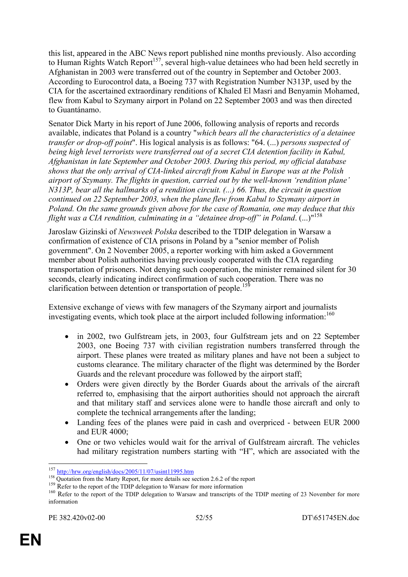this list, appeared in the ABC News report published nine months previously. Also according to Human Rights Watch Report<sup>157</sup>, several high-value detainees who had been held secretly in Afghanistan in 2003 were transferred out of the country in September and October 2003. According to Eurocontrol data, a Boeing 737 with Registration Number N313P, used by the CIA for the ascertained extraordinary renditions of Khaled El Masri and Benyamin Mohamed, flew from Kabul to Szymany airport in Poland on 22 September 2003 and was then directed to Guantánamo.

Senator Dick Marty in his report of June 2006, following analysis of reports and records available, indicates that Poland is a country "*which bears all the characteristics of a detainee transfer or drop-off point*". His logical analysis is as follows: "64. (...) *persons suspected of being high level terrorists were transferred out of a secret CIA detention facility in Kabul, Afghanistan in late September and October 2003. During this period, my official database shows that the only arrival of CIA-linked aircraft from Kabul in Europe was at the Polish airport of Szymany. The flights in question, carried out by the well-known 'rendition plane' N313P, bear all the hallmarks of a rendition circuit. (...) 66. Thus, the circuit in question continued on 22 September 2003, when the plane flew from Kabul to Szymany airport in Poland. On the same grounds given above for the case of Romania, one may deduce that this flight was a CIA rendition, culminating in a "detainee drop-off" in Poland*. (...)"158

Jaroslaw Gizinski of *Newsweek Polska* described to the TDIP delegation in Warsaw a confirmation of existence of CIA prisons in Poland by a "senior member of Polish government". On 2 November 2005, a reporter working with him asked a Government member about Polish authorities having previously cooperated with the CIA regarding transportation of prisoners. Not denying such cooperation, the minister remained silent for 30 seconds, clearly indicating indirect confirmation of such cooperation. There was no clarification between detention or transportation of people.<sup>159</sup>

Extensive exchange of views with few managers of the Szymany airport and journalists investigating events, which took place at the airport included following information:<sup>160</sup>

- in 2002, two Gulfstream jets, in 2003, four Gulfstream jets and on 22 September 2003, one Boeing 737 with civilian registration numbers transferred through the airport. These planes were treated as military planes and have not been a subject to customs clearance. The military character of the flight was determined by the Border Guards and the relevant procedure was followed by the airport staff;
- Orders were given directly by the Border Guards about the arrivals of the aircraft referred to, emphasising that the airport authorities should not approach the aircraft and that military staff and services alone were to handle those aircraft and only to complete the technical arrangements after the landing;
- Landing fees of the planes were paid in cash and overpriced between EUR 2000 and EUR 4000;
- One or two vehicles would wait for the arrival of Gulfstream aircraft. The vehicles had military registration numbers starting with "H", which are associated with the

<sup>1</sup> 

<sup>&</sup>lt;sup>157</sup> http://hrw.org/english/docs/2005/11/07/usint11995.htm<br><sup>158</sup> Quotation from the Marty Report, for more details see section 2.6.2 of the report<br><sup>159</sup> Refer to the report of the TDIP delegation to Warsaw for more infor information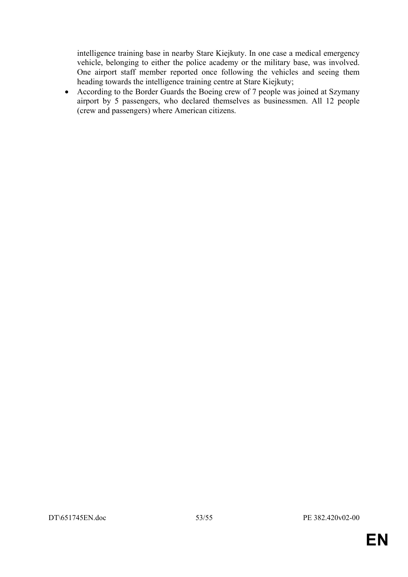intelligence training base in nearby Stare Kiejkuty. In one case a medical emergency vehicle, belonging to either the police academy or the military base, was involved. One airport staff member reported once following the vehicles and seeing them heading towards the intelligence training centre at Stare Kiejkuty;

• According to the Border Guards the Boeing crew of 7 people was joined at Szymany airport by 5 passengers, who declared themselves as businessmen. All 12 people (crew and passengers) where American citizens.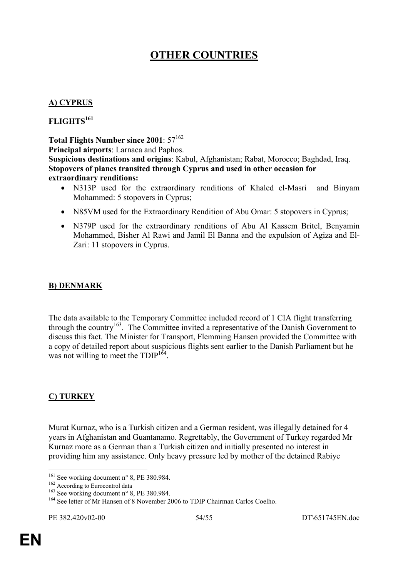# **OTHER COUNTRIES**

#### **A) CYPRUS**

#### **FLIGHTS161**

**Total Flights Number since 2001**:  $57^{162}$ 

**Principal airports**: Larnaca and Paphos.

**Suspicious destinations and origins**: Kabul, Afghanistan; Rabat, Morocco; Baghdad, Iraq. **Stopovers of planes transited through Cyprus and used in other occasion for extraordinary renditions:** 

- N313P used for the extraordinary renditions of Khaled el-Masri and Binyam Mohammed: 5 stopovers in Cyprus;
- N85VM used for the Extraordinary Rendition of Abu Omar: 5 stopovers in Cyprus;
- N379P used for the extraordinary renditions of Abu Al Kassem Britel, Benyamin Mohammed, Bisher Al Rawi and Jamil El Banna and the expulsion of Agiza and El-Zari: 11 stopovers in Cyprus.

#### **B) DENMARK**

The data available to the Temporary Committee included record of 1 CIA flight transferring through the country<sup>163</sup>. The Committee invited a representative of the Danish Government to discuss this fact. The Minister for Transport, Flemming Hansen provided the Committee with a copy of detailed report about suspicious flights sent earlier to the Danish Parliament but he was not willing to meet the  $TDIP<sup>164</sup>$ .

## **C) TURKEY**

Murat Kurnaz, who is a Turkish citizen and a German resident, was illegally detained for 4 years in Afghanistan and Guantanamo. Regrettably, the Government of Turkey regarded Mr Kurnaz more as a German than a Turkish citizen and initially presented no interest in providing him any assistance. Only heavy pressure led by mother of the detained Rabiye

<sup>&</sup>lt;sup>161</sup> See working document n° 8, PE 380.984.

<sup>162</sup> According document n° 9, PE 380.984.<br>
163 See working document n° 8, PE 380.984.<br>
164 See letter of Mr Hansen of 8 November 2006 to TDIP Chairman Carlos Coelho.